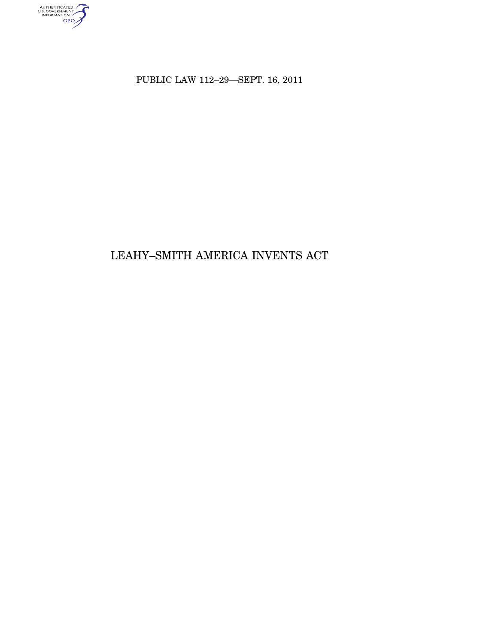AUTHENTICATED

PUBLIC LAW 112–29—SEPT. 16, 2011

# LEAHY–SMITH AMERICA INVENTS ACT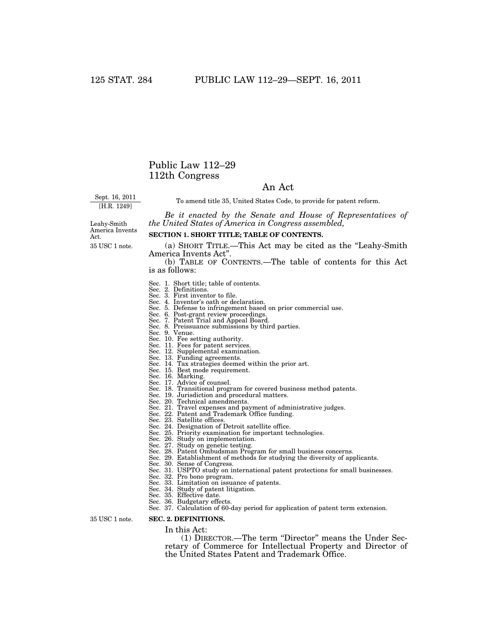# Public Law 112–29 112th Congress

# An Act

Sept. 16, 2011 [H.R. 1249]

To amend title 35, United States Code, to provide for patent reform.

*Be it enacted by the Senate and House of Representatives of the United States of America in Congress assembled,* 

35 USC 1 note. Leahy-Smith America Invents Act.

**SECTION 1. SHORT TITLE; TABLE OF CONTENTS.** 

(a) SHORT TITLE.—This Act may be cited as the ''Leahy-Smith America Invents Act''.

(b) TABLE OF CONTENTS.—The table of contents for this Act is as follows:

- Sec. 1. Short title; table of contents. Sec. 2. Definitions.
- 
- Sec. 3. First inventor to file.
- Sec. 4. Inventor's oath or declaration.
- Sec. 5. Defense to infringement based on prior commercial use. Sec. 6. Post-grant review proceedings. Sec. 7. Patent Trial and Appeal Board. Sec. 8. Preissuance submissions by third parties. Sec. 9. Venue.
- 
- 
- 
- Sec. 10. Fee setting authority.
- Sec. 11. Fees for patent services.
- Sec. 12. Supplemental examination.
- 
- Sec. 13. Funding agreements. Sec. 14. Tax strategies deemed within the prior art.
- 
- 
- 
- Sec. 15. Best mode requirement. Sec. 16. Marking. Sec. 17. Advice of counsel. Sec. 18. Transitional program for covered business method patents.
- Sec. 19. Jurisdiction and procedural matters. Sec. 20. Technical amendments.
- 
- Sec. 21. Travel expenses and payment of administrative judges. Sec. 22. Patent and Trademark Office funding.
- 
- 
- Sec. 23. Satellite offices. Sec. 24. Designation of Detroit satellite office.
- Sec. 25. Priority examination for important technologies. Sec. 26. Study on implementation.
- 
- 
- Sec. 27. Study on genetic testing. Sec. 28. Patent Ombudsman Program for small business concerns. Sec. 29. Establishment of methods for studying the diversity of applicants.
- 
- 
- Sec. 30. Sense of Congress. Sec. 31. USPTO study on international patent protections for small businesses.
- Sec. 32. Pro bono program.
- Sec. 33. Limitation on issuance of patents.
- Sec. 34. Study of patent litigation.
- Sec. 35. Effective date.
- Sec. 36. Budgetary effects.
- Sec. 37. Calculation of 60-day period for application of patent term extension.

35 USC 1 note.

#### **SEC. 2. DEFINITIONS.**

In this Act:

(1) DIRECTOR.—The term ''Director'' means the Under Secretary of Commerce for Intellectual Property and Director of the United States Patent and Trademark Office.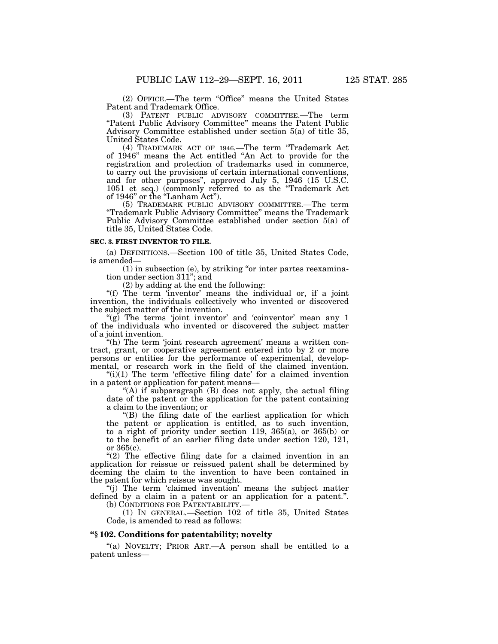(2) OFFICE.—The term ''Office'' means the United States Patent and Trademark Office.

(3) PATENT PUBLIC ADVISORY COMMITTEE.—The term ''Patent Public Advisory Committee'' means the Patent Public Advisory Committee established under section 5(a) of title 35, United States Code.

(4) TRADEMARK ACT OF 1946.—The term ''Trademark Act of 1946'' means the Act entitled ''An Act to provide for the registration and protection of trademarks used in commerce, to carry out the provisions of certain international conventions, and for other purposes'', approved July 5, 1946 (15 U.S.C. 1051 et seq.) (commonly referred to as the ''Trademark Act of 1946" or the "Lanham Act").

(5) TRADEMARK PUBLIC ADVISORY COMMITTEE.—The term ''Trademark Public Advisory Committee'' means the Trademark Public Advisory Committee established under section 5(a) of title 35, United States Code.

#### **SEC. 3. FIRST INVENTOR TO FILE.**

(a) DEFINITIONS.—Section 100 of title 35, United States Code, is amended—

(1) in subsection (e), by striking ''or inter partes reexamination under section 311''; and

(2) by adding at the end the following:

"(f) The term 'inventor' means the individual or, if a joint invention, the individuals collectively who invented or discovered the subject matter of the invention.

"(g) The terms 'joint inventor' and 'coinventor' mean any 1 of the individuals who invented or discovered the subject matter of a joint invention.

''(h) The term 'joint research agreement' means a written contract, grant, or cooperative agreement entered into by 2 or more persons or entities for the performance of experimental, developmental, or research work in the field of the claimed invention.

" $(i)(1)$  The term 'effective filing date' for a claimed invention in a patent or application for patent means—

"(A) if subparagraph  $(B)$  does not apply, the actual filing date of the patent or the application for the patent containing a claim to the invention; or

''(B) the filing date of the earliest application for which the patent or application is entitled, as to such invention, to a right of priority under section 119, 365(a), or 365(b) or to the benefit of an earlier filing date under section 120, 121, or 365(c).

" $(2)$  The effective filing date for a claimed invention in an application for reissue or reissued patent shall be determined by deeming the claim to the invention to have been contained in the patent for which reissue was sought.

''(j) The term 'claimed invention' means the subject matter defined by a claim in a patent or an application for a patent.''. (b) CONDITIONS FOR PATENTABILITY.—

(1) IN GENERAL.—Section 102 of title 35, United States Code, is amended to read as follows:

#### **''§ 102. Conditions for patentability; novelty**

"(a) NOVELTY; PRIOR ART.—A person shall be entitled to a patent unless—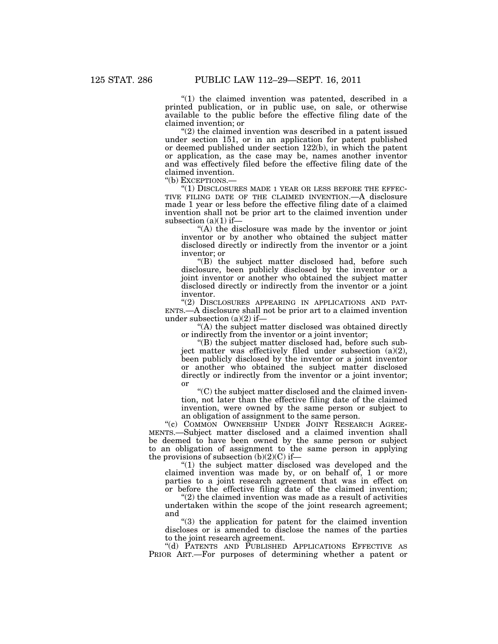''(1) the claimed invention was patented, described in a printed publication, or in public use, on sale, or otherwise available to the public before the effective filing date of the claimed invention; or

" $(2)$  the claimed invention was described in a patent issued under section 151, or in an application for patent published or deemed published under section 122(b), in which the patent or application, as the case may be, names another inventor and was effectively filed before the effective filing date of the claimed invention.<br>"(b) EXCEPTIONS.—

"(1) DISCLOSURES MADE 1 YEAR OR LESS BEFORE THE EFFECTIVE FILING DATE OF THE CLAIMED INVENTION.—A disclosure made 1 year or less before the effective filing date of a claimed invention shall not be prior art to the claimed invention under subsection  $(a)(1)$  if—

''(A) the disclosure was made by the inventor or joint inventor or by another who obtained the subject matter disclosed directly or indirectly from the inventor or a joint inventor; or

''(B) the subject matter disclosed had, before such disclosure, been publicly disclosed by the inventor or a joint inventor or another who obtained the subject matter disclosed directly or indirectly from the inventor or a joint inventor.

"(2) DISCLOSURES APPEARING IN APPLICATIONS AND PAT-ENTS.—A disclosure shall not be prior art to a claimed invention under subsection  $(a)(2)$  if—

''(A) the subject matter disclosed was obtained directly or indirectly from the inventor or a joint inventor;

''(B) the subject matter disclosed had, before such subject matter was effectively filed under subsection (a)(2), been publicly disclosed by the inventor or a joint inventor or another who obtained the subject matter disclosed directly or indirectly from the inventor or a joint inventor; or

''(C) the subject matter disclosed and the claimed invention, not later than the effective filing date of the claimed invention, were owned by the same person or subject to an obligation of assignment to the same person.

"(c) COMMON OWNERSHIP UNDER JOINT RESEARCH AGREE-MENTS.—Subject matter disclosed and a claimed invention shall be deemed to have been owned by the same person or subject to an obligation of assignment to the same person in applying the provisions of subsection  $(b)(2)(C)$  if-

''(1) the subject matter disclosed was developed and the claimed invention was made by, or on behalf of, 1 or more parties to a joint research agreement that was in effect on or before the effective filing date of the claimed invention;

 $(2)$  the claimed invention was made as a result of activities undertaken within the scope of the joint research agreement; and

''(3) the application for patent for the claimed invention discloses or is amended to disclose the names of the parties to the joint research agreement.

''(d) PATENTS AND PUBLISHED APPLICATIONS EFFECTIVE AS PRIOR ART.—For purposes of determining whether a patent or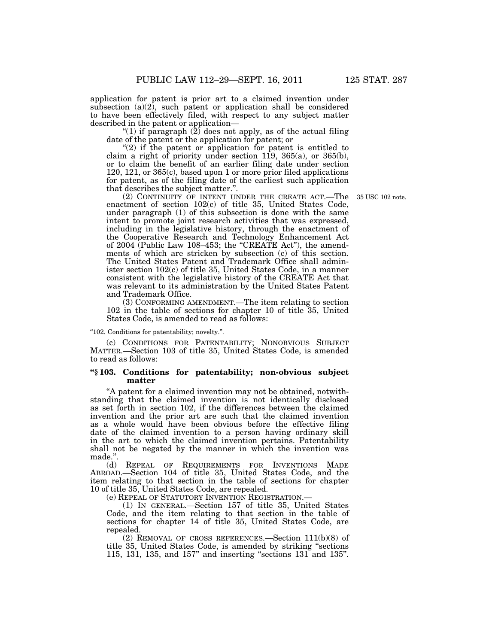application for patent is prior art to a claimed invention under subsection  $(a)(2)$ , such patent or application shall be considered to have been effectively filed, with respect to any subject matter described in the patent or application—

"(1) if paragraph  $(2)$  does not apply, as of the actual filing date of the patent or the application for patent; or

" $(2)$  if the patent or application for patent is entitled to claim a right of priority under section 119, 365(a), or 365(b), or to claim the benefit of an earlier filing date under section 120, 121, or 365(c), based upon 1 or more prior filed applications for patent, as of the filing date of the earliest such application that describes the subject matter.''.

35 USC 102 note.

(2) CONTINUITY OF INTENT UNDER THE CREATE ACT.—The enactment of section 102(c) of title 35, United States Code, under paragraph (1) of this subsection is done with the same intent to promote joint research activities that was expressed, including in the legislative history, through the enactment of the Cooperative Research and Technology Enhancement Act of 2004 (Public Law 108–453; the "CREATE Act"), the amendments of which are stricken by subsection (c) of this section. The United States Patent and Trademark Office shall administer section 102(c) of title 35, United States Code, in a manner consistent with the legislative history of the CREATE Act that was relevant to its administration by the United States Patent and Trademark Office.

(3) CONFORMING AMENDMENT.—The item relating to section 102 in the table of sections for chapter 10 of title 35, United States Code, is amended to read as follows:

''102. Conditions for patentability; novelty.''.

(c) CONDITIONS FOR PATENTABILITY; NONOBVIOUS SUBJECT MATTER.—Section 103 of title 35, United States Code, is amended to read as follows:

# **''§ 103. Conditions for patentability; non-obvious subject matter**

''A patent for a claimed invention may not be obtained, notwithstanding that the claimed invention is not identically disclosed as set forth in section 102, if the differences between the claimed invention and the prior art are such that the claimed invention as a whole would have been obvious before the effective filing date of the claimed invention to a person having ordinary skill in the art to which the claimed invention pertains. Patentability shall not be negated by the manner in which the invention was made.''.

(d) REPEAL OF REQUIREMENTS FOR INVENTIONS MADE ABROAD.—Section 104 of title 35, United States Code, and the item relating to that section in the table of sections for chapter 10 of title 35, United States Code, are repealed.

(e) REPEAL OF STATUTORY INVENTION REGISTRATION.—

(1) IN GENERAL.—Section 157 of title 35, United States Code, and the item relating to that section in the table of sections for chapter 14 of title 35, United States Code, are repealed.

(2) REMOVAL OF CROSS REFERENCES.—Section 111(b)(8) of title 35, United States Code, is amended by striking ''sections 115, 131, 135, and 157'' and inserting ''sections 131 and 135''.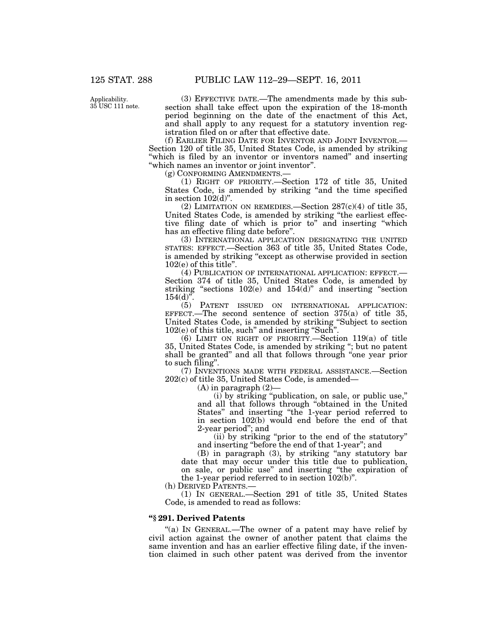Applicability. 35 USC 111 note.

(3) EFFECTIVE DATE.—The amendments made by this subsection shall take effect upon the expiration of the 18-month period beginning on the date of the enactment of this Act, and shall apply to any request for a statutory invention registration filed on or after that effective date.

(f) EARLIER FILING DATE FOR INVENTOR AND JOINT INVENTOR.— Section 120 of title 35, United States Code, is amended by striking ''which is filed by an inventor or inventors named'' and inserting "which names an inventor or joint inventor".

(g) CONFORMING AMENDMENTS.—

(1) RIGHT OF PRIORITY.—Section 172 of title 35, United States Code, is amended by striking "and the time specified in section  $102(d)$ ".

(2) LIMITATION ON REMEDIES.—Section  $287(c)(4)$  of title 35, United States Code, is amended by striking ''the earliest effective filing date of which is prior to'' and inserting ''which has an effective filing date before''.

(3) INTERNATIONAL APPLICATION DESIGNATING THE UNITED STATES: EFFECT.—Section 363 of title 35, United States Code, is amended by striking ''except as otherwise provided in section 102(e) of this title''.

(4) PUBLICATION OF INTERNATIONAL APPLICATION: EFFECT.— Section 374 of title 35, United States Code, is amended by striking "sections  $102(e)$  and  $154(d)$ " and inserting "section  $154(d)$ ".

(5) PATENT ISSUED ON INTERNATIONAL APPLICATION: EFFECT.—The second sentence of section 375(a) of title 35, United States Code, is amended by striking ''Subject to section 102(e) of this title, such'' and inserting ''Such''.

(6) LIMIT ON RIGHT OF PRIORITY.—Section 119(a) of title 35, United States Code, is amended by striking ''; but no patent shall be granted'' and all that follows through ''one year prior to such filing''.

(7) INVENTIONS MADE WITH FEDERAL ASSISTANCE.—Section 202(c) of title 35, United States Code, is amended—

 $(A)$  in paragraph  $(2)$ —

(i) by striking ''publication, on sale, or public use,'' and all that follows through ''obtained in the United States'' and inserting ''the 1-year period referred to in section 102(b) would end before the end of that 2-year period''; and

(ii) by striking ''prior to the end of the statutory'' and inserting ''before the end of that 1-year''; and

(B) in paragraph (3), by striking ''any statutory bar date that may occur under this title due to publication, on sale, or public use'' and inserting ''the expiration of the 1-year period referred to in section  $102(b)$ ".

(h) DERIVED PATENTS.—

(1) IN GENERAL.—Section 291 of title 35, United States Code, is amended to read as follows:

# **''§ 291. Derived Patents**

"(a) IN GENERAL.—The owner of a patent may have relief by civil action against the owner of another patent that claims the same invention and has an earlier effective filing date, if the invention claimed in such other patent was derived from the inventor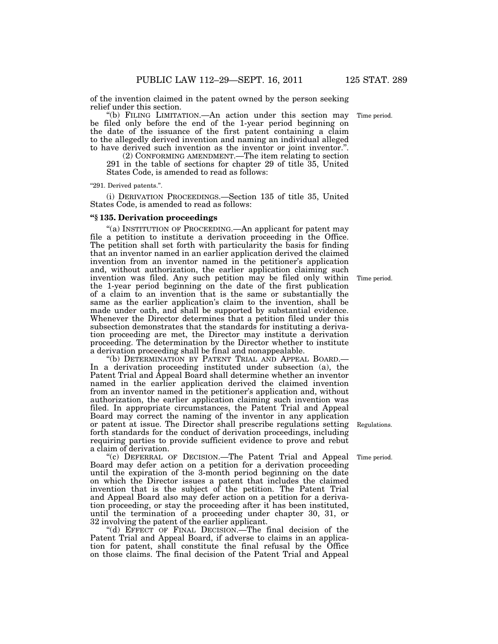of the invention claimed in the patent owned by the person seeking relief under this section.

''(b) FILING LIMITATION.—An action under this section may be filed only before the end of the 1-year period beginning on the date of the issuance of the first patent containing a claim to the allegedly derived invention and naming an individual alleged to have derived such invention as the inventor or joint inventor.''.

(2) CONFORMING AMENDMENT.—The item relating to section 291 in the table of sections for chapter 29 of title 35, United

States Code, is amended to read as follows:

''291. Derived patents.''.

(i) DERIVATION PROCEEDINGS.—Section 135 of title 35, United States Code, is amended to read as follows:

#### **''§ 135. Derivation proceedings**

''(a) INSTITUTION OF PROCEEDING.—An applicant for patent may file a petition to institute a derivation proceeding in the Office. The petition shall set forth with particularity the basis for finding that an inventor named in an earlier application derived the claimed invention from an inventor named in the petitioner's application and, without authorization, the earlier application claiming such invention was filed. Any such petition may be filed only within the 1-year period beginning on the date of the first publication of a claim to an invention that is the same or substantially the same as the earlier application's claim to the invention, shall be made under oath, and shall be supported by substantial evidence. Whenever the Director determines that a petition filed under this subsection demonstrates that the standards for instituting a derivation proceeding are met, the Director may institute a derivation proceeding. The determination by the Director whether to institute a derivation proceeding shall be final and nonappealable.

"(b) DETERMINATION BY PATENT TRIAL AND APPEAL BOARD. In a derivation proceeding instituted under subsection (a), the Patent Trial and Appeal Board shall determine whether an inventor named in the earlier application derived the claimed invention from an inventor named in the petitioner's application and, without authorization, the earlier application claiming such invention was filed. In appropriate circumstances, the Patent Trial and Appeal Board may correct the naming of the inventor in any application or patent at issue. The Director shall prescribe regulations setting forth standards for the conduct of derivation proceedings, including requiring parties to provide sufficient evidence to prove and rebut a claim of derivation.

''(c) DEFERRAL OF DECISION.—The Patent Trial and Appeal Board may defer action on a petition for a derivation proceeding until the expiration of the 3-month period beginning on the date on which the Director issues a patent that includes the claimed invention that is the subject of the petition. The Patent Trial and Appeal Board also may defer action on a petition for a derivation proceeding, or stay the proceeding after it has been instituted, until the termination of a proceeding under chapter 30, 31, or 32 involving the patent of the earlier applicant.

"(d) EFFECT OF FINAL DECISION.—The final decision of the Patent Trial and Appeal Board, if adverse to claims in an application for patent, shall constitute the final refusal by the Office on those claims. The final decision of the Patent Trial and Appeal

Time period.

Regulations.

Time period.

Time period.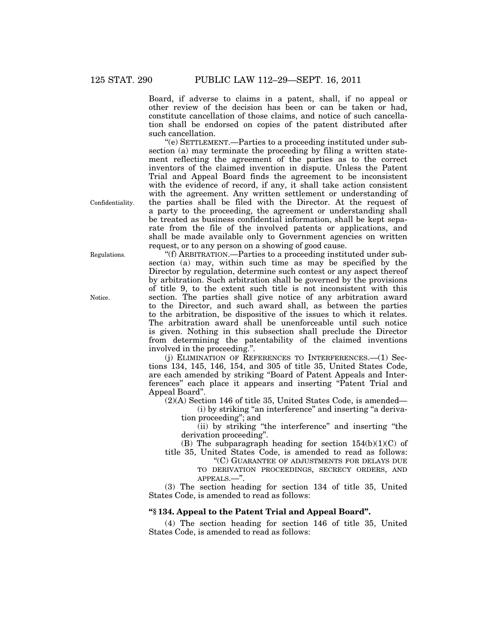Board, if adverse to claims in a patent, shall, if no appeal or other review of the decision has been or can be taken or had, constitute cancellation of those claims, and notice of such cancellation shall be endorsed on copies of the patent distributed after such cancellation.

''(e) SETTLEMENT.—Parties to a proceeding instituted under subsection (a) may terminate the proceeding by filing a written statement reflecting the agreement of the parties as to the correct inventors of the claimed invention in dispute. Unless the Patent Trial and Appeal Board finds the agreement to be inconsistent with the evidence of record, if any, it shall take action consistent with the agreement. Any written settlement or understanding of the parties shall be filed with the Director. At the request of a party to the proceeding, the agreement or understanding shall be treated as business confidential information, shall be kept separate from the file of the involved patents or applications, and shall be made available only to Government agencies on written request, or to any person on a showing of good cause.

''(f) ARBITRATION.—Parties to a proceeding instituted under subsection (a) may, within such time as may be specified by the Director by regulation, determine such contest or any aspect thereof by arbitration. Such arbitration shall be governed by the provisions of title 9, to the extent such title is not inconsistent with this section. The parties shall give notice of any arbitration award to the Director, and such award shall, as between the parties to the arbitration, be dispositive of the issues to which it relates. The arbitration award shall be unenforceable until such notice is given. Nothing in this subsection shall preclude the Director from determining the patentability of the claimed inventions involved in the proceeding.''.

(j) ELIMINATION OF REFERENCES TO INTERFERENCES.—(1) Sections 134, 145, 146, 154, and 305 of title 35, United States Code, are each amended by striking ''Board of Patent Appeals and Interferences'' each place it appears and inserting ''Patent Trial and Appeal Board''.

(2)(A) Section 146 of title 35, United States Code, is amended—

(i) by striking "an interference" and inserting "a derivation proceeding''; and

(ii) by striking ''the interference'' and inserting ''the derivation proceeding''.

(B) The subparagraph heading for section  $154(b)(1)(C)$  of title 35, United States Code, is amended to read as follows:

''(C) GUARANTEE OF ADJUSTMENTS FOR DELAYS DUE TO DERIVATION PROCEEDINGS, SECRECY ORDERS, AND APPEALS.—''.

(3) The section heading for section 134 of title 35, United States Code, is amended to read as follows:

#### **''§ 134. Appeal to the Patent Trial and Appeal Board''.**

(4) The section heading for section 146 of title 35, United States Code, is amended to read as follows:

Confidentiality.

Regulations.

Notice.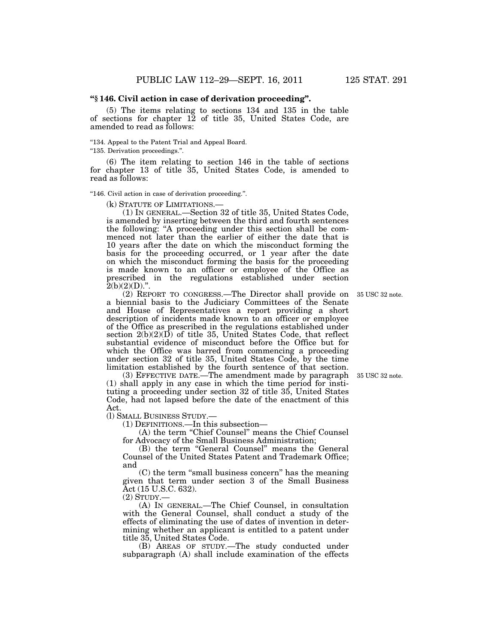#### **''§ 146. Civil action in case of derivation proceeding''.**

(5) The items relating to sections 134 and 135 in the table of sections for chapter 12 of title 35, United States Code, are amended to read as follows:

''134. Appeal to the Patent Trial and Appeal Board.

''135. Derivation proceedings.''.

(6) The item relating to section 146 in the table of sections for chapter 13 of title 35, United States Code, is amended to read as follows:

''146. Civil action in case of derivation proceeding.''.

(k) STATUTE OF LIMITATIONS.— (1) IN GENERAL.—Section 32 of title 35, United States Code, is amended by inserting between the third and fourth sentences the following: ''A proceeding under this section shall be commenced not later than the earlier of either the date that is 10 years after the date on which the misconduct forming the basis for the proceeding occurred, or 1 year after the date on which the misconduct forming the basis for the proceeding is made known to an officer or employee of the Office as prescribed in the regulations established under section  $2(b)(2)(D)$ .".

(2) REPORT TO CONGRESS.—The Director shall provide on a biennial basis to the Judiciary Committees of the Senate and House of Representatives a report providing a short description of incidents made known to an officer or employee of the Office as prescribed in the regulations established under section  $2(b)(2)(D)$  of title 35, United States Code, that reflect substantial evidence of misconduct before the Office but for which the Office was barred from commencing a proceeding under section 32 of title 35, United States Code, by the time limitation established by the fourth sentence of that section.

(3) EFFECTIVE DATE.—The amendment made by paragraph (1) shall apply in any case in which the time period for instituting a proceeding under section 32 of title 35, United States Code, had not lapsed before the date of the enactment of this Act.

(l) SMALL BUSINESS STUDY.—

(1) DEFINITIONS.—In this subsection—

(A) the term ''Chief Counsel'' means the Chief Counsel for Advocacy of the Small Business Administration;

(B) the term ''General Counsel'' means the General Counsel of the United States Patent and Trademark Office; and

(C) the term ''small business concern'' has the meaning given that term under section 3 of the Small Business Act (15 U.S.C. 632).

 $(2)$  STUDY.

(A) IN GENERAL.—The Chief Counsel, in consultation with the General Counsel, shall conduct a study of the effects of eliminating the use of dates of invention in determining whether an applicant is entitled to a patent under title 35, United States Code.

(B) AREAS OF STUDY.—The study conducted under subparagraph (A) shall include examination of the effects

35 USC 32 note.

35 USC 32 note.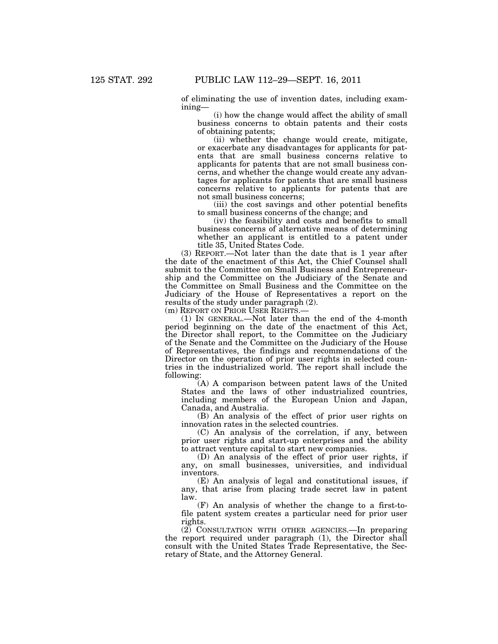of eliminating the use of invention dates, including examining—

(i) how the change would affect the ability of small business concerns to obtain patents and their costs of obtaining patents;

(ii) whether the change would create, mitigate, or exacerbate any disadvantages for applicants for patents that are small business concerns relative to applicants for patents that are not small business concerns, and whether the change would create any advantages for applicants for patents that are small business concerns relative to applicants for patents that are not small business concerns;

(iii) the cost savings and other potential benefits to small business concerns of the change; and

(iv) the feasibility and costs and benefits to small business concerns of alternative means of determining whether an applicant is entitled to a patent under title 35, United States Code.

(3) REPORT.—Not later than the date that is 1 year after the date of the enactment of this Act, the Chief Counsel shall submit to the Committee on Small Business and Entrepreneurship and the Committee on the Judiciary of the Senate and the Committee on Small Business and the Committee on the Judiciary of the House of Representatives a report on the results of the study under paragraph (2).

(m) REPORT ON PRIOR USER RIGHTS.—

(1) IN GENERAL.—Not later than the end of the 4-month period beginning on the date of the enactment of this Act, the Director shall report, to the Committee on the Judiciary of the Senate and the Committee on the Judiciary of the House of Representatives, the findings and recommendations of the Director on the operation of prior user rights in selected countries in the industrialized world. The report shall include the following:

(A) A comparison between patent laws of the United States and the laws of other industrialized countries, including members of the European Union and Japan, Canada, and Australia.

(B) An analysis of the effect of prior user rights on innovation rates in the selected countries.

(C) An analysis of the correlation, if any, between prior user rights and start-up enterprises and the ability to attract venture capital to start new companies.

(D) An analysis of the effect of prior user rights, if any, on small businesses, universities, and individual inventors.

(E) An analysis of legal and constitutional issues, if any, that arise from placing trade secret law in patent law.

(F) An analysis of whether the change to a first-tofile patent system creates a particular need for prior user rights.

(2) CONSULTATION WITH OTHER AGENCIES.—In preparing the report required under paragraph (1), the Director shall consult with the United States Trade Representative, the Secretary of State, and the Attorney General.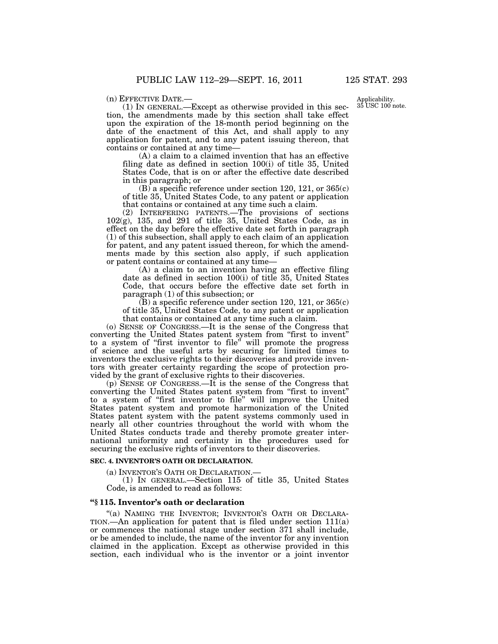Applicability. 35 USC 100 note.

(n)  $E$ FFECTIVE DATE.—<br>(1) IN GENERAL.—Except as otherwise provided in this section, the amendments made by this section shall take effect upon the expiration of the 18-month period beginning on the date of the enactment of this Act, and shall apply to any application for patent, and to any patent issuing thereon, that contains or contained at any time—

(A) a claim to a claimed invention that has an effective filing date as defined in section 100(i) of title 35, United States Code, that is on or after the effective date described in this paragraph; or

(B) a specific reference under section 120, 121, or 365(c) of title 35, United States Code, to any patent or application that contains or contained at any time such a claim.

(2) INTERFERING PATENTS.—The provisions of sections  $102(g)$ , 135, and 291 of title 35, United States Code, as in effect on the day before the effective date set forth in paragraph (1) of this subsection, shall apply to each claim of an application for patent, and any patent issued thereon, for which the amendments made by this section also apply, if such application or patent contains or contained at any time—

(A) a claim to an invention having an effective filing date as defined in section 100(i) of title 35, United States Code, that occurs before the effective date set forth in paragraph (1) of this subsection; or

 $(B)$  a specific reference under section 120, 121, or 365 $(c)$ of title 35, United States Code, to any patent or application that contains or contained at any time such a claim.

(o) SENSE OF CONGRESS.—It is the sense of the Congress that converting the United States patent system from ''first to invent'' to a system of ''first inventor to file'' will promote the progress of science and the useful arts by securing for limited times to inventors the exclusive rights to their discoveries and provide inventors with greater certainty regarding the scope of protection provided by the grant of exclusive rights to their discoveries.

(p) SENSE OF CONGRESS.—It is the sense of the Congress that converting the United States patent system from ''first to invent'' to a system of ''first inventor to file'' will improve the United States patent system and promote harmonization of the United States patent system with the patent systems commonly used in nearly all other countries throughout the world with whom the United States conducts trade and thereby promote greater international uniformity and certainty in the procedures used for securing the exclusive rights of inventors to their discoveries.

#### **SEC. 4. INVENTOR'S OATH OR DECLARATION.**

(a) INVENTOR'S OATH OR DECLARATION.—

(1) IN GENERAL.—Section 115 of title 35, United States Code, is amended to read as follows:

#### **''§ 115. Inventor's oath or declaration**

"(a) NAMING THE INVENTOR; INVENTOR'S OATH OR DECLARA-TION.—An application for patent that is filed under section 111(a) or commences the national stage under section 371 shall include, or be amended to include, the name of the inventor for any invention claimed in the application. Except as otherwise provided in this section, each individual who is the inventor or a joint inventor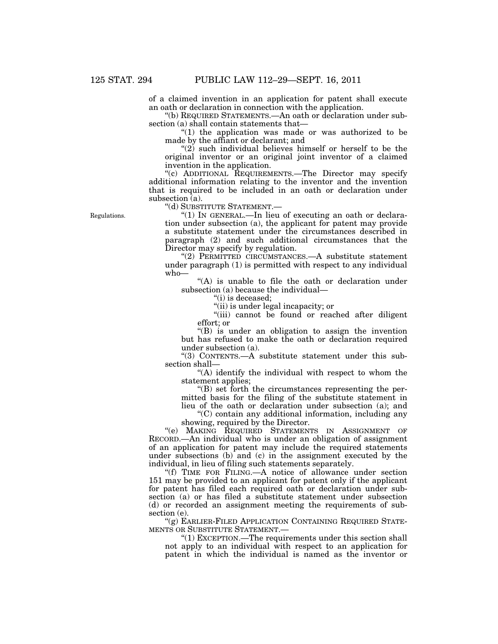of a claimed invention in an application for patent shall execute an oath or declaration in connection with the application.

''(b) REQUIRED STATEMENTS.—An oath or declaration under subsection (a) shall contain statements that—

" $(1)$  the application was made or was authorized to be made by the affiant or declarant; and

"(2) such individual believes himself or herself to be the original inventor or an original joint inventor of a claimed invention in the application.

"(c) ADDITIONAL REQUIREMENTS.—The Director may specify additional information relating to the inventor and the invention that is required to be included in an oath or declaration under subsection  $(a)$ .

''(d) SUBSTITUTE STATEMENT.—

Regulations.

''(1) IN GENERAL.—In lieu of executing an oath or declaration under subsection (a), the applicant for patent may provide a substitute statement under the circumstances described in paragraph (2) and such additional circumstances that the Director may specify by regulation.

''(2) PERMITTED CIRCUMSTANCES.—A substitute statement under paragraph (1) is permitted with respect to any individual who—

''(A) is unable to file the oath or declaration under subsection (a) because the individual—

"(i) is deceased;

''(ii) is under legal incapacity; or

"(iii) cannot be found or reached after diligent effort; or

 $'(B)$  is under an obligation to assign the invention but has refused to make the oath or declaration required under subsection (a).

''(3) CONTENTS.—A substitute statement under this subsection shall—

''(A) identify the individual with respect to whom the statement applies;

''(B) set forth the circumstances representing the permitted basis for the filing of the substitute statement in

lieu of the oath or declaration under subsection (a); and ''(C) contain any additional information, including any

showing, required by the Director.

''(e) MAKING REQUIRED STATEMENTS IN ASSIGNMENT OF RECORD.—An individual who is under an obligation of assignment of an application for patent may include the required statements under subsections (b) and (c) in the assignment executed by the individual, in lieu of filing such statements separately.

''(f) TIME FOR FILING.—A notice of allowance under section 151 may be provided to an applicant for patent only if the applicant for patent has filed each required oath or declaration under subsection (a) or has filed a substitute statement under subsection (d) or recorded an assignment meeting the requirements of subsection (e).

''(g) EARLIER-FILED APPLICATION CONTAINING REQUIRED STATE-MENTS OR SUBSTITUTE STATEMENT.—

''(1) EXCEPTION.—The requirements under this section shall not apply to an individual with respect to an application for patent in which the individual is named as the inventor or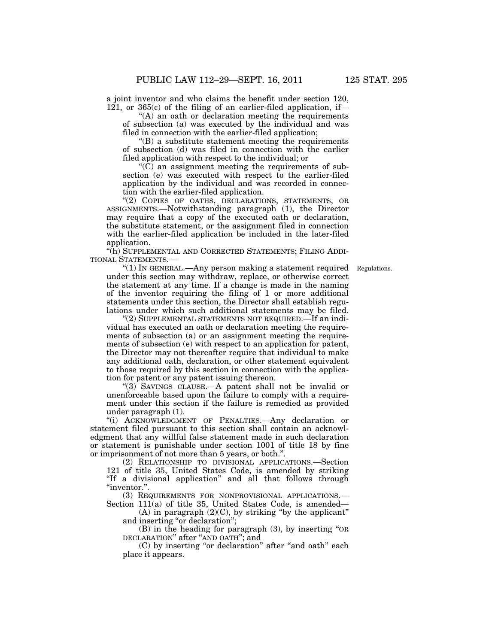a joint inventor and who claims the benefit under section 120, 121, or 365(c) of the filing of an earlier-filed application, if—

''(A) an oath or declaration meeting the requirements of subsection (a) was executed by the individual and was filed in connection with the earlier-filed application;

 $E(B)$  a substitute statement meeting the requirements of subsection (d) was filed in connection with the earlier filed application with respect to the individual; or

 $C$ ) an assignment meeting the requirements of subsection (e) was executed with respect to the earlier-filed application by the individual and was recorded in connection with the earlier-filed application.

"(2) COPIES OF OATHS, DECLARATIONS, STATEMENTS, OR ASSIGNMENTS.—Notwithstanding paragraph (1), the Director may require that a copy of the executed oath or declaration, the substitute statement, or the assignment filed in connection with the earlier-filed application be included in the later-filed application.

''(h) SUPPLEMENTAL AND CORRECTED STATEMENTS; FILING ADDI-TIONAL STATEMENTS.—

Regulations.

''(1) IN GENERAL.—Any person making a statement required under this section may withdraw, replace, or otherwise correct the statement at any time. If a change is made in the naming of the inventor requiring the filing of 1 or more additional statements under this section, the Director shall establish regulations under which such additional statements may be filed.

''(2) SUPPLEMENTAL STATEMENTS NOT REQUIRED.—If an individual has executed an oath or declaration meeting the requirements of subsection (a) or an assignment meeting the requirements of subsection (e) with respect to an application for patent, the Director may not thereafter require that individual to make any additional oath, declaration, or other statement equivalent to those required by this section in connection with the application for patent or any patent issuing thereon.

''(3) SAVINGS CLAUSE.—A patent shall not be invalid or unenforceable based upon the failure to comply with a requirement under this section if the failure is remedied as provided under paragraph (1).

''(i) ACKNOWLEDGMENT OF PENALTIES.—Any declaration or statement filed pursuant to this section shall contain an acknowledgment that any willful false statement made in such declaration or statement is punishable under section 1001 of title 18 by fine or imprisonment of not more than 5 years, or both.''.

(2) RELATIONSHIP TO DIVISIONAL APPLICATIONS.—Section 121 of title 35, United States Code, is amended by striking "If a divisional application" and all that follows through "inventor.".

(3) REQUIREMENTS FOR NONPROVISIONAL APPLICATIONS.— Section 111(a) of title 35, United States Code, is amended—

 $(A)$  in paragraph  $(2)(C)$ , by striking "by the applicant" and inserting "or declaration";

(B) in the heading for paragraph (3), by inserting ''OR DECLARATION'' after ''AND OATH''; and

(C) by inserting "or declaration" after "and oath" each place it appears.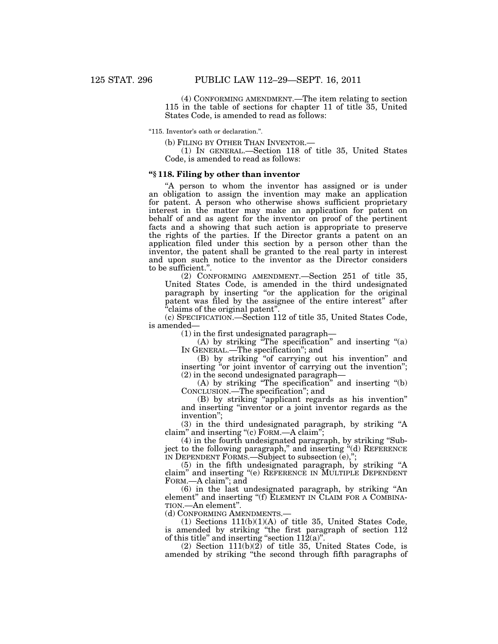(4) CONFORMING AMENDMENT.—The item relating to section 115 in the table of sections for chapter 11 of title 35, United States Code, is amended to read as follows:

''115. Inventor's oath or declaration.''.

(b) FILING BY OTHER THAN INVENTOR.—

(1) IN GENERAL.—Section 118 of title 35, United States Code, is amended to read as follows:

### **''§ 118. Filing by other than inventor**

''A person to whom the inventor has assigned or is under an obligation to assign the invention may make an application for patent. A person who otherwise shows sufficient proprietary interest in the matter may make an application for patent on behalf of and as agent for the inventor on proof of the pertinent facts and a showing that such action is appropriate to preserve the rights of the parties. If the Director grants a patent on an application filed under this section by a person other than the inventor, the patent shall be granted to the real party in interest and upon such notice to the inventor as the Director considers to be sufficient."

(2) CONFORMING AMENDMENT.—Section 251 of title 35, United States Code, is amended in the third undesignated paragraph by inserting "or the application for the original patent was filed by the assignee of the entire interest" after 'claims of the original patent".

(c) SPECIFICATION.—Section 112 of title 35, United States Code, is amended—

(1) in the first undesignated paragraph—

(A) by striking "The specification" and inserting " $(a)$ IN GENERAL.—The specification''; and

(B) by striking ''of carrying out his invention'' and inserting "or joint inventor of carrying out the invention"; (2) in the second undesignated paragraph—

(A) by striking ''The specification'' and inserting ''(b) CONCLUSION.—The specification''; and

(B) by striking ''applicant regards as his invention'' and inserting ''inventor or a joint inventor regards as the invention'';

(3) in the third undesignated paragraph, by striking ''A claim" and inserting "(c) FORM.—A claim"

(4) in the fourth undesignated paragraph, by striking ''Subject to the following paragraph,'' and inserting ''(d) REFERENCE IN DEPENDENT FORMS.—Subject to subsection  $(e)$ ,";

(5) in the fifth undesignated paragraph, by striking ''A claim'' and inserting ''(e) REFERENCE IN MULTIPLE DEPENDENT FORM.—A claim''; and

(6) in the last undesignated paragraph, by striking ''An element" and inserting "(f) ELEMENT IN CLAIM FOR A COMBINA-TION.—An element''.

(d) CONFORMING AMENDMENTS.—

(1) Sections 111(b)(1)(A) of title 35, United States Code, is amended by striking "the first paragraph of section  $112$ of this title" and inserting "section  $11\overline{2}(a)$ ".

(2) Section  $111(b)(2)$  of title 35, United States Code, is amended by striking ''the second through fifth paragraphs of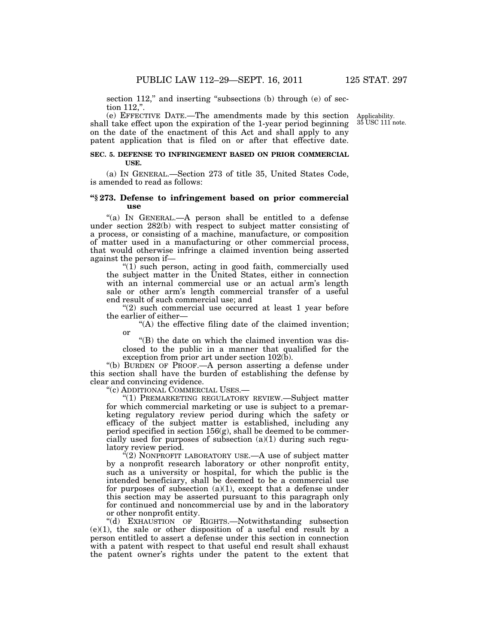section 112," and inserting "subsections (b) through (e) of section 112,''.

(e) EFFECTIVE DATE.—The amendments made by this section shall take effect upon the expiration of the 1-year period beginning on the date of the enactment of this Act and shall apply to any patent application that is filed on or after that effective date.

#### **SEC. 5. DEFENSE TO INFRINGEMENT BASED ON PRIOR COMMERCIAL USE.**

(a) IN GENERAL.—Section 273 of title 35, United States Code, is amended to read as follows:

#### **''§ 273. Defense to infringement based on prior commercial use**

"(a) IN GENERAL.—A person shall be entitled to a defense under section 282(b) with respect to subject matter consisting of a process, or consisting of a machine, manufacture, or composition of matter used in a manufacturing or other commercial process, that would otherwise infringe a claimed invention being asserted against the person if—

" $(1)$  such person, acting in good faith, commercially used the subject matter in the United States, either in connection with an internal commercial use or an actual arm's length sale or other arm's length commercial transfer of a useful end result of such commercial use; and

 $(2)$  such commercial use occurred at least 1 year before the earlier of either—

''(A) the effective filing date of the claimed invention; or

''(B) the date on which the claimed invention was disclosed to the public in a manner that qualified for the exception from prior art under section 102(b).

''(b) BURDEN OF PROOF.—A person asserting a defense under this section shall have the burden of establishing the defense by clear and convincing evidence.

''(c) ADDITIONAL COMMERCIAL USES.—

''(1) PREMARKETING REGULATORY REVIEW.—Subject matter for which commercial marketing or use is subject to a premarketing regulatory review period during which the safety or efficacy of the subject matter is established, including any period specified in section  $156(g)$ , shall be deemed to be commercially used for purposes of subsection  $(a)(1)$  during such regulatory review period.

 $(2)$  NONPROFIT LABORATORY USE.—A use of subject matter by a nonprofit research laboratory or other nonprofit entity, such as a university or hospital, for which the public is the intended beneficiary, shall be deemed to be a commercial use for purposes of subsection  $(a)(1)$ , except that a defense under this section may be asserted pursuant to this paragraph only for continued and noncommercial use by and in the laboratory or other nonprofit entity.

''(d) EXHAUSTION OF RIGHTS.—Notwithstanding subsection  $(e)(1)$ , the sale or other disposition of a useful end result by a person entitled to assert a defense under this section in connection with a patent with respect to that useful end result shall exhaust the patent owner's rights under the patent to the extent that

Applicability. 35 USC 111 note.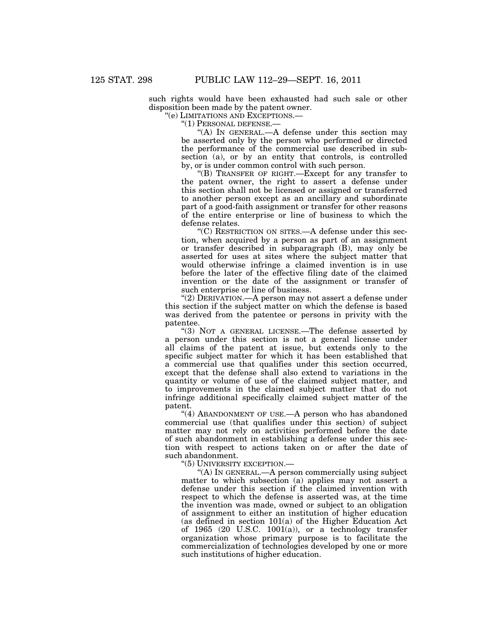such rights would have been exhausted had such sale or other disposition been made by the patent owner.

''(e) LIMITATIONS AND EXCEPTIONS.—

''(1) PERSONAL DEFENSE.—

"(A) IN GENERAL.—A defense under this section may be asserted only by the person who performed or directed the performance of the commercial use described in subsection (a), or by an entity that controls, is controlled by, or is under common control with such person.

''(B) TRANSFER OF RIGHT.—Except for any transfer to the patent owner, the right to assert a defense under this section shall not be licensed or assigned or transferred to another person except as an ancillary and subordinate part of a good-faith assignment or transfer for other reasons of the entire enterprise or line of business to which the defense relates.

''(C) RESTRICTION ON SITES.—A defense under this section, when acquired by a person as part of an assignment or transfer described in subparagraph (B), may only be asserted for uses at sites where the subject matter that would otherwise infringe a claimed invention is in use before the later of the effective filing date of the claimed invention or the date of the assignment or transfer of such enterprise or line of business.

''(2) DERIVATION.—A person may not assert a defense under this section if the subject matter on which the defense is based was derived from the patentee or persons in privity with the patentee.

''(3) NOT A GENERAL LICENSE.—The defense asserted by a person under this section is not a general license under all claims of the patent at issue, but extends only to the specific subject matter for which it has been established that a commercial use that qualifies under this section occurred, except that the defense shall also extend to variations in the quantity or volume of use of the claimed subject matter, and to improvements in the claimed subject matter that do not infringe additional specifically claimed subject matter of the patent.

"(4) ABANDONMENT OF USE.—A person who has abandoned commercial use (that qualifies under this section) of subject matter may not rely on activities performed before the date of such abandonment in establishing a defense under this section with respect to actions taken on or after the date of such abandonment.

''(5) UNIVERSITY EXCEPTION.—

''(A) IN GENERAL.—A person commercially using subject matter to which subsection (a) applies may not assert a defense under this section if the claimed invention with respect to which the defense is asserted was, at the time the invention was made, owned or subject to an obligation of assignment to either an institution of higher education (as defined in section 101(a) of the Higher Education Act of 1965  $(20 \text{ U.S.C. } 1001(a))$ , or a technology transfer organization whose primary purpose is to facilitate the commercialization of technologies developed by one or more such institutions of higher education.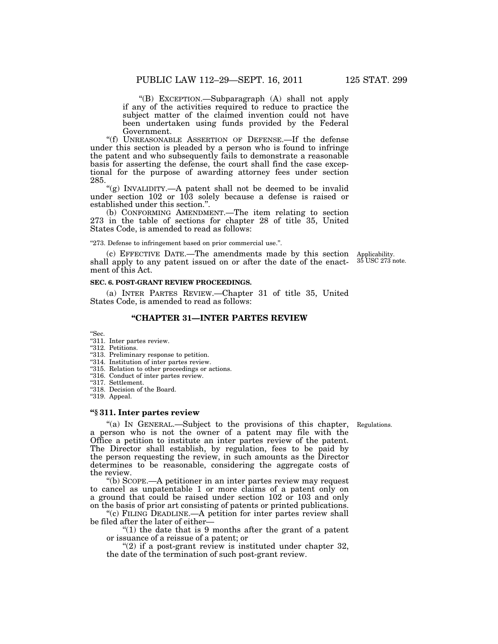''(B) EXCEPTION.—Subparagraph (A) shall not apply if any of the activities required to reduce to practice the subject matter of the claimed invention could not have been undertaken using funds provided by the Federal Government.

''(f) UNREASONABLE ASSERTION OF DEFENSE.—If the defense under this section is pleaded by a person who is found to infringe the patent and who subsequently fails to demonstrate a reasonable basis for asserting the defense, the court shall find the case exceptional for the purpose of awarding attorney fees under section 285.

"(g) INVALIDITY.—A patent shall not be deemed to be invalid under section 102 or 103 solely because a defense is raised or established under this section.''.

(b) CONFORMING AMENDMENT.—The item relating to section 273 in the table of sections for chapter 28 of title 35, United States Code, is amended to read as follows:

''273. Defense to infringement based on prior commercial use.''.

(c) EFFECTIVE DATE.—The amendments made by this section shall apply to any patent issued on or after the date of the enactment of this Act.

#### **SEC. 6. POST-GRANT REVIEW PROCEEDINGS.**

(a) INTER PARTES REVIEW.—Chapter 31 of title 35, United States Code, is amended to read as follows:

# **''CHAPTER 31—INTER PARTES REVIEW**

''Sec.

''311. Inter partes review.

''312. Petitions.

''313. Preliminary response to petition.

''314. Institution of inter partes review.

''315. Relation to other proceedings or actions. ''316. Conduct of inter partes review.

''317. Settlement.

''318. Decision of the Board. ''319. Appeal.

#### **''§ 311. Inter partes review**

''(a) IN GENERAL.—Subject to the provisions of this chapter, a person who is not the owner of a patent may file with the Office a petition to institute an inter partes review of the patent. The Director shall establish, by regulation, fees to be paid by the person requesting the review, in such amounts as the Director determines to be reasonable, considering the aggregate costs of the review.

''(b) SCOPE.—A petitioner in an inter partes review may request to cancel as unpatentable 1 or more claims of a patent only on a ground that could be raised under section 102 or 103 and only on the basis of prior art consisting of patents or printed publications.

"(c) FILING DEADLINE.—A petition for inter partes review shall be filed after the later of either—

" $(1)$  the date that is 9 months after the grant of a patent or issuance of a reissue of a patent; or

" $(2)$  if a post-grant review is instituted under chapter 32, the date of the termination of such post-grant review.

Regulations.

Applicability. 35 USC 273 note.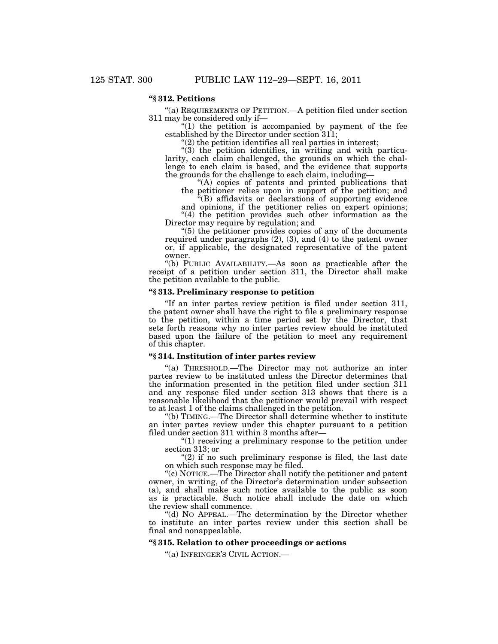# **''§ 312. Petitions**

"(a) REQUIREMENTS OF PETITION.—A petition filed under section 311 may be considered only if—

" $(1)$  the petition is accompanied by payment of the fee established by the Director under section 311;

" $(2)$  the petition identifies all real parties in interest;

"(3) the petition identifies, in writing and with particularity, each claim challenged, the grounds on which the challenge to each claim is based, and the evidence that supports the grounds for the challenge to each claim, including—

"(A) copies of patents and printed publications that the petitioner relies upon in support of the petition; and

 $\hat{f}(B)$  affidavits or declarations of supporting evidence and opinions, if the petitioner relies on expert opinions;

"(4) the petition provides such other information as the Director may require by regulation; and

''(5) the petitioner provides copies of any of the documents required under paragraphs  $(2)$ ,  $(3)$ , and  $(4)$  to the patent owner or, if applicable, the designated representative of the patent owner.

''(b) PUBLIC AVAILABILITY.—As soon as practicable after the receipt of a petition under section 311, the Director shall make the petition available to the public.

# **''§ 313. Preliminary response to petition**

''If an inter partes review petition is filed under section 311, the patent owner shall have the right to file a preliminary response to the petition, within a time period set by the Director, that sets forth reasons why no inter partes review should be instituted based upon the failure of the petition to meet any requirement of this chapter.

# **''§ 314. Institution of inter partes review**

''(a) THRESHOLD.—The Director may not authorize an inter partes review to be instituted unless the Director determines that the information presented in the petition filed under section 311 and any response filed under section 313 shows that there is a reasonable likelihood that the petitioner would prevail with respect to at least 1 of the claims challenged in the petition.

''(b) TIMING.—The Director shall determine whether to institute an inter partes review under this chapter pursuant to a petition filed under section 311 within 3 months after—

" $(1)$  receiving a preliminary response to the petition under section 313; or

" $(2)$  if no such preliminary response is filed, the last date on which such response may be filed.

''(c) NOTICE.—The Director shall notify the petitioner and patent owner, in writing, of the Director's determination under subsection (a), and shall make such notice available to the public as soon as is practicable. Such notice shall include the date on which the review shall commence.

''(d) NO APPEAL.—The determination by the Director whether to institute an inter partes review under this section shall be final and nonappealable.

#### **''§ 315. Relation to other proceedings or actions**

''(a) INFRINGER'S CIVIL ACTION.—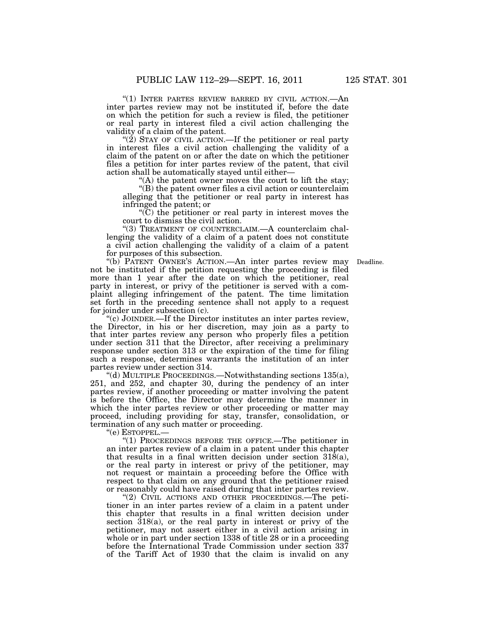''(1) INTER PARTES REVIEW BARRED BY CIVIL ACTION.—An inter partes review may not be instituted if, before the date on which the petition for such a review is filed, the petitioner or real party in interest filed a civil action challenging the validity of a claim of the patent.

"(2) STAY OF CIVIL ACTION.—If the petitioner or real party in interest files a civil action challenging the validity of a claim of the patent on or after the date on which the petitioner files a petition for inter partes review of the patent, that civil action shall be automatically stayed until either—

"(A) the patent owner moves the court to lift the stay;

 $\mathcal{L}(B)$  the patent owner files a civil action or counterclaim alleging that the petitioner or real party in interest has infringed the patent; or

 $\widetilde{C}$ ) the petitioner or real party in interest moves the court to dismiss the civil action.

"(3) TREATMENT OF COUNTERCLAIM. A counterclaim challenging the validity of a claim of a patent does not constitute a civil action challenging the validity of a claim of a patent for purposes of this subsection.

''(b) PATENT OWNER'S ACTION.—An inter partes review may Deadline. not be instituted if the petition requesting the proceeding is filed more than 1 year after the date on which the petitioner, real party in interest, or privy of the petitioner is served with a complaint alleging infringement of the patent. The time limitation set forth in the preceding sentence shall not apply to a request for joinder under subsection (c).

''(c) JOINDER.—If the Director institutes an inter partes review, the Director, in his or her discretion, may join as a party to that inter partes review any person who properly files a petition under section 311 that the Director, after receiving a preliminary response under section 313 or the expiration of the time for filing such a response, determines warrants the institution of an inter partes review under section 314.

''(d) MULTIPLE PROCEEDINGS.—Notwithstanding sections 135(a), 251, and 252, and chapter 30, during the pendency of an inter partes review, if another proceeding or matter involving the patent is before the Office, the Director may determine the manner in which the inter partes review or other proceeding or matter may proceed, including providing for stay, transfer, consolidation, or termination of any such matter or proceeding.

''(e) ESTOPPEL.—

''(1) PROCEEDINGS BEFORE THE OFFICE.—The petitioner in an inter partes review of a claim in a patent under this chapter that results in a final written decision under section 318(a), or the real party in interest or privy of the petitioner, may not request or maintain a proceeding before the Office with respect to that claim on any ground that the petitioner raised or reasonably could have raised during that inter partes review.

''(2) CIVIL ACTIONS AND OTHER PROCEEDINGS.—The petitioner in an inter partes review of a claim in a patent under this chapter that results in a final written decision under section  $318(a)$ , or the real party in interest or privy of the petitioner, may not assert either in a civil action arising in whole or in part under section 1338 of title 28 or in a proceeding before the International Trade Commission under section 337 of the Tariff Act of 1930 that the claim is invalid on any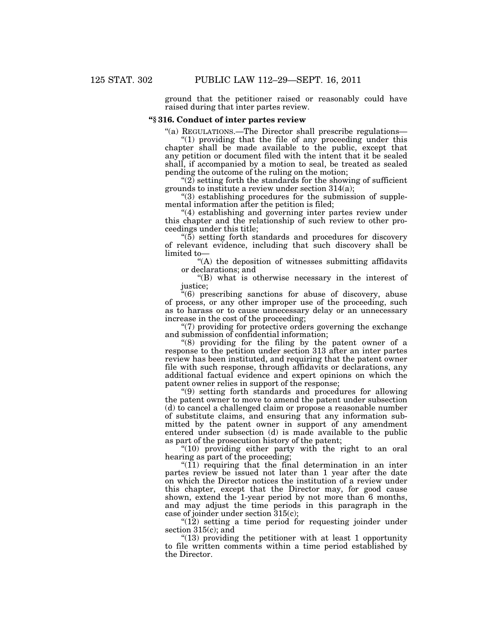ground that the petitioner raised or reasonably could have raised during that inter partes review.

# **''§ 316. Conduct of inter partes review**

''(a) REGULATIONS.—The Director shall prescribe regulations—

" $(1)$  providing that the file of any proceeding under this chapter shall be made available to the public, except that any petition or document filed with the intent that it be sealed shall, if accompanied by a motion to seal, be treated as sealed pending the outcome of the ruling on the motion;

 $(2)$  setting forth the standards for the showing of sufficient grounds to institute a review under section 314(a);

"(3) establishing procedures for the submission of supplemental information after the petition is filed;

''(4) establishing and governing inter partes review under this chapter and the relationship of such review to other proceedings under this title;

 $\mathcal{L}(5)$  setting forth standards and procedures for discovery of relevant evidence, including that such discovery shall be limited to—

''(A) the deposition of witnesses submitting affidavits or declarations; and

''(B) what is otherwise necessary in the interest of justice;

''(6) prescribing sanctions for abuse of discovery, abuse of process, or any other improper use of the proceeding, such as to harass or to cause unnecessary delay or an unnecessary increase in the cost of the proceeding;

"(7) providing for protective orders governing the exchange and submission of confidential information;

''(8) providing for the filing by the patent owner of a response to the petition under section 313 after an inter partes review has been instituted, and requiring that the patent owner file with such response, through affidavits or declarations, any additional factual evidence and expert opinions on which the patent owner relies in support of the response;

''(9) setting forth standards and procedures for allowing the patent owner to move to amend the patent under subsection (d) to cancel a challenged claim or propose a reasonable number of substitute claims, and ensuring that any information submitted by the patent owner in support of any amendment entered under subsection (d) is made available to the public as part of the prosecution history of the patent;

''(10) providing either party with the right to an oral hearing as part of the proceeding;

" $(11)$  requiring that the final determination in an inter partes review be issued not later than 1 year after the date on which the Director notices the institution of a review under this chapter, except that the Director may, for good cause shown, extend the 1-year period by not more than 6 months, and may adjust the time periods in this paragraph in the case of joinder under section 315(c);

 $(12)$  setting a time period for requesting joinder under section 315(c); and

 $(13)$  providing the petitioner with at least 1 opportunity to file written comments within a time period established by the Director.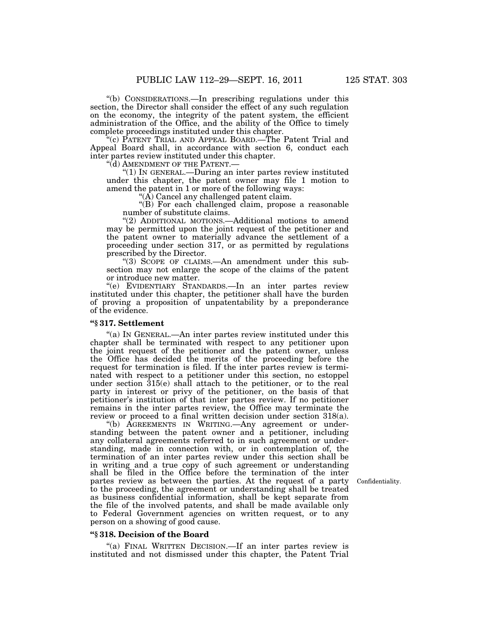''(b) CONSIDERATIONS.—In prescribing regulations under this section, the Director shall consider the effect of any such regulation on the economy, the integrity of the patent system, the efficient administration of the Office, and the ability of the Office to timely complete proceedings instituted under this chapter.

''(c) PATENT TRIAL AND APPEAL BOARD.—The Patent Trial and Appeal Board shall, in accordance with section 6, conduct each inter partes review instituted under this chapter.<br>"(d) AMENDMENT OF THE PATENT.—

"(d) AMENDMENT OF THE PATENT.— $(1)$  In GENERAL.—During an inter partes review instituted under this chapter, the patent owner may file 1 motion to amend the patent in 1 or more of the following ways:

" $(\hat{A})$  Cancel any challenged patent claim.

''(B) For each challenged claim, propose a reasonable number of substitute claims.

''(2) ADDITIONAL MOTIONS.—Additional motions to amend may be permitted upon the joint request of the petitioner and the patent owner to materially advance the settlement of a proceeding under section 317, or as permitted by regulations prescribed by the Director.

"(3) SCOPE OF CLAIMS.—An amendment under this subsection may not enlarge the scope of the claims of the patent or introduce new matter.

''(e) EVIDENTIARY STANDARDS.—In an inter partes review instituted under this chapter, the petitioner shall have the burden of proving a proposition of unpatentability by a preponderance of the evidence.

# **''§ 317. Settlement**

"(a) IN GENERAL.—An inter partes review instituted under this chapter shall be terminated with respect to any petitioner upon the joint request of the petitioner and the patent owner, unless the Office has decided the merits of the proceeding before the request for termination is filed. If the inter partes review is terminated with respect to a petitioner under this section, no estoppel under section 315(e) shall attach to the petitioner, or to the real party in interest or privy of the petitioner, on the basis of that petitioner's institution of that inter partes review. If no petitioner remains in the inter partes review, the Office may terminate the review or proceed to a final written decision under section 318(a).

''(b) AGREEMENTS IN WRITING.—Any agreement or understanding between the patent owner and a petitioner, including any collateral agreements referred to in such agreement or understanding, made in connection with, or in contemplation of, the termination of an inter partes review under this section shall be in writing and a true copy of such agreement or understanding shall be filed in the Office before the termination of the inter partes review as between the parties. At the request of a party to the proceeding, the agreement or understanding shall be treated as business confidential information, shall be kept separate from the file of the involved patents, and shall be made available only to Federal Government agencies on written request, or to any person on a showing of good cause.

#### **''§ 318. Decision of the Board**

''(a) FINAL WRITTEN DECISION.—If an inter partes review is instituted and not dismissed under this chapter, the Patent Trial

Confidentiality.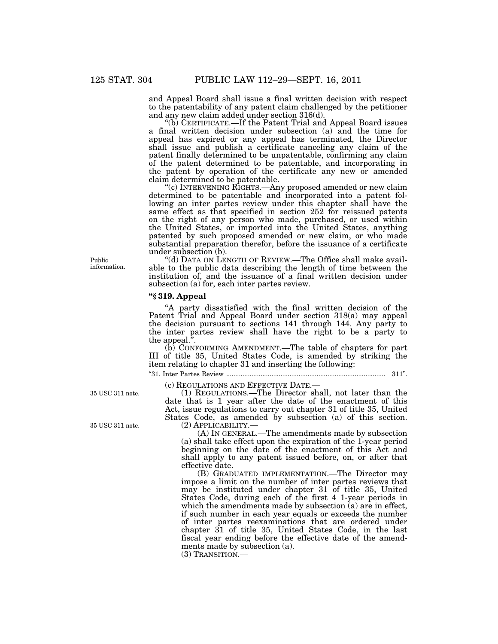and Appeal Board shall issue a final written decision with respect to the patentability of any patent claim challenged by the petitioner and any new claim added under section 316(d).

''(b) CERTIFICATE.—If the Patent Trial and Appeal Board issues a final written decision under subsection (a) and the time for appeal has expired or any appeal has terminated, the Director shall issue and publish a certificate canceling any claim of the patent finally determined to be unpatentable, confirming any claim of the patent determined to be patentable, and incorporating in the patent by operation of the certificate any new or amended claim determined to be patentable.

''(c) INTERVENING RIGHTS.—Any proposed amended or new claim determined to be patentable and incorporated into a patent following an inter partes review under this chapter shall have the same effect as that specified in section 252 for reissued patents on the right of any person who made, purchased, or used within the United States, or imported into the United States, anything patented by such proposed amended or new claim, or who made substantial preparation therefor, before the issuance of a certificate under subsection (b).

''(d) DATA ON LENGTH OF REVIEW.—The Office shall make available to the public data describing the length of time between the institution of, and the issuance of a final written decision under subsection (a) for, each inter partes review.

#### **''§ 319. Appeal**

''A party dissatisfied with the final written decision of the Patent Trial and Appeal Board under section 318(a) may appeal the decision pursuant to sections 141 through 144. Any party to the inter partes review shall have the right to be a party to the appeal.''.

(b) CONFORMING AMENDMENT.—The table of chapters for part III of title 35, United States Code, is amended by striking the item relating to chapter 31 and inserting the following:

''31. Inter Partes Review ........................................................................................ 311''.

(c) REGULATIONS AND EFFECTIVE DATE.— (1) REGULATIONS.—The Director shall, not later than the date that is 1 year after the date of the enactment of this Act, issue regulations to carry out chapter 31 of title 35, United States Code, as amended by subsection (a) of this section.<br>(2) APPLICABILITY.—

 $(A)$  In GENERAL.—The amendments made by subsection (a) shall take effect upon the expiration of the 1-year period beginning on the date of the enactment of this Act and shall apply to any patent issued before, on, or after that effective date.

(B) GRADUATED IMPLEMENTATION.—The Director may impose a limit on the number of inter partes reviews that may be instituted under chapter 31 of title 35, United States Code, during each of the first 4 1-year periods in which the amendments made by subsection (a) are in effect, if such number in each year equals or exceeds the number of inter partes reexaminations that are ordered under chapter 31 of title 35, United States Code, in the last fiscal year ending before the effective date of the amendments made by subsection (a).

(3) TRANSITION.—

Public information.

35 USC 311 note.

35 USC 311 note.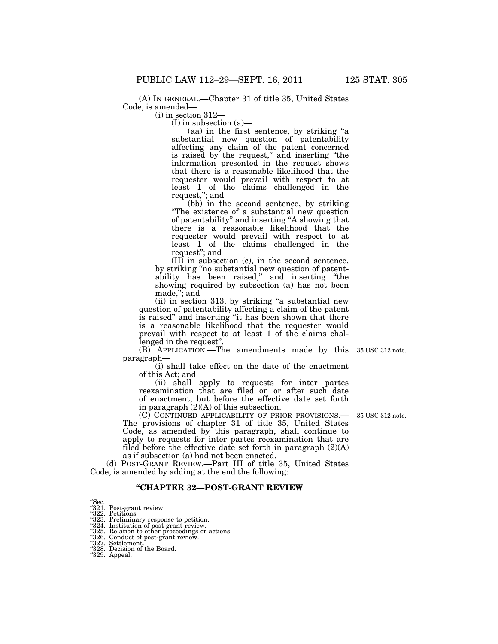(A) IN GENERAL.—Chapter 31 of title 35, United States Code, is amended—

(i) in section 312—

(I) in subsection (a)—

(aa) in the first sentence, by striking ''a substantial new question of patentability affecting any claim of the patent concerned is raised by the request,'' and inserting ''the information presented in the request shows that there is a reasonable likelihood that the requester would prevail with respect to at least 1 of the claims challenged in the request,''; and

(bb) in the second sentence, by striking ''The existence of a substantial new question of patentability'' and inserting ''A showing that there is a reasonable likelihood that the requester would prevail with respect to at least 1 of the claims challenged in the request''; and

 $(II)$  in subsection (c), in the second sentence, by striking ''no substantial new question of patentability has been raised,'' and inserting ''the showing required by subsection (a) has not been made,''; and

(ii) in section 313, by striking ''a substantial new question of patentability affecting a claim of the patent is raised'' and inserting ''it has been shown that there is a reasonable likelihood that the requester would prevail with respect to at least 1 of the claims challenged in the request".

(B) APPLICATION.—The amendments made by this 35 USC 312 note. paragraph—

(i) shall take effect on the date of the enactment of this Act; and

(ii) shall apply to requests for inter partes reexamination that are filed on or after such date of enactment, but before the effective date set forth in paragraph  $(2)(A)$  of this subsection.<br>(C) CONTINUED APPLICABILITY OF PRIOR PROVISIONS.—

The provisions of chapter 31 of title 35, United States Code, as amended by this paragraph, shall continue to apply to requests for inter partes reexamination that are filed before the effective date set forth in paragraph  $(2)(A)$ as if subsection (a) had not been enacted.

(d) POST-GRANT REVIEW.—Part III of title 35, United States Code, is amended by adding at the end the following:

# **''CHAPTER 32—POST-GRANT REVIEW**

'Sec.

"321. Post-grant review.<br>"322. Petitions.<br>"323. Preliminary response to petition.<br>"324. Institution of post-grant review.

''325. Relation to other proceedings or actions.

''326. Conduct of post-grant review. ''327. Settlement.

''328. Decision of the Board. ''329. Appeal.

35 USC 312 note.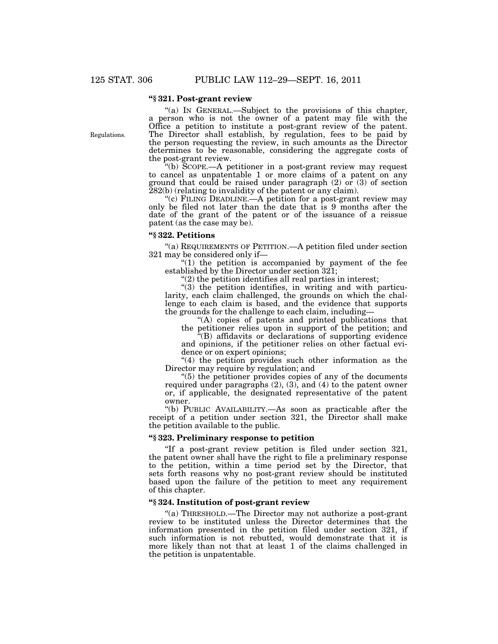# **''§ 321. Post-grant review**

''(a) IN GENERAL.—Subject to the provisions of this chapter, a person who is not the owner of a patent may file with the Office a petition to institute a post-grant review of the patent. The Director shall establish, by regulation, fees to be paid by the person requesting the review, in such amounts as the Director determines to be reasonable, considering the aggregate costs of the post-grant review.

''(b) SCOPE.—A petitioner in a post-grant review may request to cancel as unpatentable 1 or more claims of a patent on any ground that could be raised under paragraph  $(2)$  or  $(3)$  of section 282(b) (relating to invalidity of the patent or any claim).

"(c) FILING DEADLINE.—A petition for a post-grant review may only be filed not later than the date that is 9 months after the date of the grant of the patent or of the issuance of a reissue patent (as the case may be).

#### **''§ 322. Petitions**

''(a) REQUIREMENTS OF PETITION.—A petition filed under section 321 may be considered only if—

" $(1)$  the petition is accompanied by payment of the fee established by the Director under section 321;

''(2) the petition identifies all real parties in interest;

''(3) the petition identifies, in writing and with particularity, each claim challenged, the grounds on which the challenge to each claim is based, and the evidence that supports the grounds for the challenge to each claim, including—

"(A) copies of patents and printed publications that the petitioner relies upon in support of the petition; and

 $E(B)$  affidavits or declarations of supporting evidence and opinions, if the petitioner relies on other factual evidence or on expert opinions;

"(4) the petition provides such other information as the Director may require by regulation; and

''(5) the petitioner provides copies of any of the documents required under paragraphs  $(2)$ ,  $(3)$ , and  $(4)$  to the patent owner or, if applicable, the designated representative of the patent owner.

''(b) PUBLIC AVAILABILITY.—As soon as practicable after the receipt of a petition under section 321, the Director shall make the petition available to the public.

# **''§ 323. Preliminary response to petition**

''If a post-grant review petition is filed under section 321, the patent owner shall have the right to file a preliminary response to the petition, within a time period set by the Director, that sets forth reasons why no post-grant review should be instituted based upon the failure of the petition to meet any requirement of this chapter.

#### **''§ 324. Institution of post-grant review**

"(a) THRESHOLD.—The Director may not authorize a post-grant review to be instituted unless the Director determines that the information presented in the petition filed under section 321, if such information is not rebutted, would demonstrate that it is more likely than not that at least 1 of the claims challenged in the petition is unpatentable.

Regulations.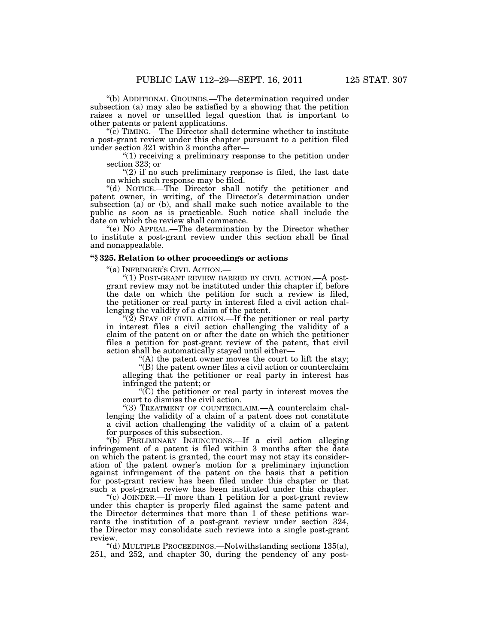''(b) ADDITIONAL GROUNDS.—The determination required under subsection (a) may also be satisfied by a showing that the petition raises a novel or unsettled legal question that is important to other patents or patent applications.

" $(c)$  TIMING.—The Director shall determine whether to institute a post-grant review under this chapter pursuant to a petition filed under section 321 within 3 months after—

''(1) receiving a preliminary response to the petition under section 323; or

" $(2)$  if no such preliminary response is filed, the last date on which such response may be filed.

''(d) NOTICE.—The Director shall notify the petitioner and patent owner, in writing, of the Director's determination under subsection (a) or (b), and shall make such notice available to the public as soon as is practicable. Such notice shall include the date on which the review shall commence.

''(e) NO APPEAL.—The determination by the Director whether to institute a post-grant review under this section shall be final and nonappealable.

# **''§ 325. Relation to other proceedings or actions**

''(a) INFRINGER'S CIVIL ACTION.—

"(1) POST-GRANT REVIEW BARRED BY CIVIL ACTION.—A postgrant review may not be instituted under this chapter if, before the date on which the petition for such a review is filed, the petitioner or real party in interest filed a civil action challenging the validity of a claim of the patent.

" $(2)$  STAY OF CIVIL ACTION.—If the petitioner or real party in interest files a civil action challenging the validity of a claim of the patent on or after the date on which the petitioner files a petition for post-grant review of the patent, that civil action shall be automatically stayed until either—

 $<sup>"</sup>(A)$  the patent owner moves the court to lift the stay;</sup>

 $\mathcal{L}(B)$  the patent owner files a civil action or counterclaim alleging that the petitioner or real party in interest has infringed the patent; or

''(C) the petitioner or real party in interest moves the court to dismiss the civil action.

''(3) TREATMENT OF COUNTERCLAIM.—A counterclaim challenging the validity of a claim of a patent does not constitute a civil action challenging the validity of a claim of a patent for purposes of this subsection.

''(b) PRELIMINARY INJUNCTIONS.—If a civil action alleging infringement of a patent is filed within 3 months after the date on which the patent is granted, the court may not stay its consideration of the patent owner's motion for a preliminary injunction against infringement of the patent on the basis that a petition for post-grant review has been filed under this chapter or that such a post-grant review has been instituted under this chapter.

''(c) JOINDER.—If more than 1 petition for a post-grant review under this chapter is properly filed against the same patent and the Director determines that more than 1 of these petitions warrants the institution of a post-grant review under section 324, the Director may consolidate such reviews into a single post-grant review.

''(d) MULTIPLE PROCEEDINGS.—Notwithstanding sections 135(a), 251, and 252, and chapter 30, during the pendency of any post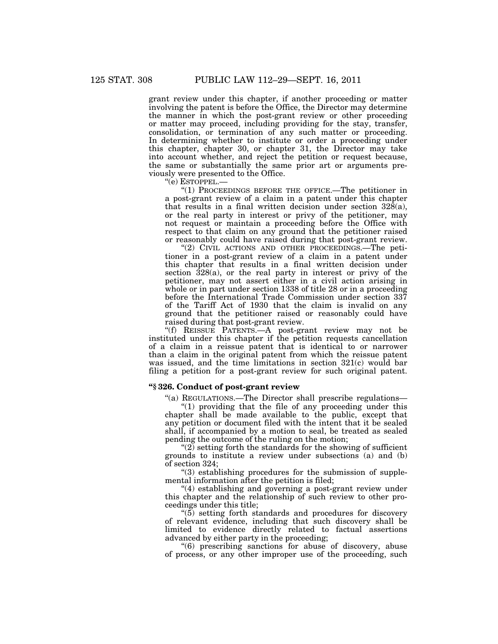grant review under this chapter, if another proceeding or matter involving the patent is before the Office, the Director may determine the manner in which the post-grant review or other proceeding or matter may proceed, including providing for the stay, transfer, consolidation, or termination of any such matter or proceeding. In determining whether to institute or order a proceeding under this chapter, chapter 30, or chapter 31, the Director may take into account whether, and reject the petition or request because, the same or substantially the same prior art or arguments previously were presented to the Office.

''(e) ESTOPPEL.—

''(1) PROCEEDINGS BEFORE THE OFFICE.—The petitioner in a post-grant review of a claim in a patent under this chapter that results in a final written decision under section  $32\overline{8}$ (a), or the real party in interest or privy of the petitioner, may not request or maintain a proceeding before the Office with respect to that claim on any ground that the petitioner raised or reasonably could have raised during that post-grant review.

''(2) CIVIL ACTIONS AND OTHER PROCEEDINGS.—The petitioner in a post-grant review of a claim in a patent under this chapter that results in a final written decision under section  $328(a)$ , or the real party in interest or privy of the petitioner, may not assert either in a civil action arising in whole or in part under section 1338 of title 28 or in a proceeding before the International Trade Commission under section 337 of the Tariff Act of 1930 that the claim is invalid on any ground that the petitioner raised or reasonably could have raised during that post-grant review.

''(f) REISSUE PATENTS.—A post-grant review may not be instituted under this chapter if the petition requests cancellation of a claim in a reissue patent that is identical to or narrower than a claim in the original patent from which the reissue patent was issued, and the time limitations in section 321(c) would bar filing a petition for a post-grant review for such original patent.

#### **''§ 326. Conduct of post-grant review**

''(a) REGULATIONS.—The Director shall prescribe regulations—

" $(1)$  providing that the file of any proceeding under this chapter shall be made available to the public, except that any petition or document filed with the intent that it be sealed shall, if accompanied by a motion to seal, be treated as sealed pending the outcome of the ruling on the motion;

 $(2)$  setting forth the standards for the showing of sufficient grounds to institute a review under subsections (a) and (b) of section 324;

''(3) establishing procedures for the submission of supplemental information after the petition is filed;

''(4) establishing and governing a post-grant review under this chapter and the relationship of such review to other proceedings under this title;

 $(5)$  setting forth standards and procedures for discovery of relevant evidence, including that such discovery shall be limited to evidence directly related to factual assertions advanced by either party in the proceeding;

''(6) prescribing sanctions for abuse of discovery, abuse of process, or any other improper use of the proceeding, such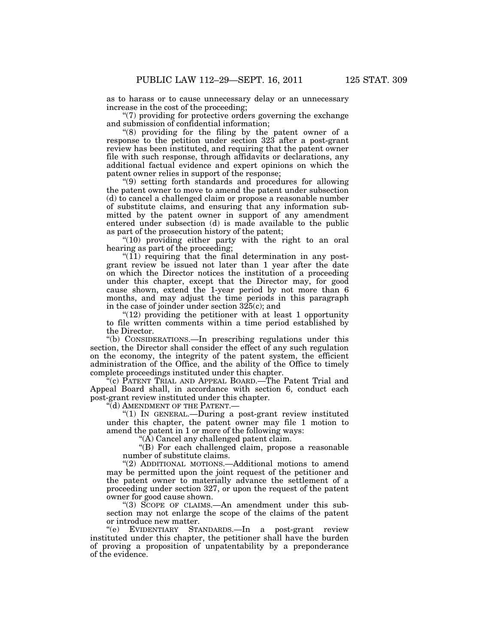as to harass or to cause unnecessary delay or an unnecessary increase in the cost of the proceeding;

''(7) providing for protective orders governing the exchange and submission of confidential information;

''(8) providing for the filing by the patent owner of a response to the petition under section 323 after a post-grant review has been instituted, and requiring that the patent owner file with such response, through affidavits or declarations, any additional factual evidence and expert opinions on which the patent owner relies in support of the response;

''(9) setting forth standards and procedures for allowing the patent owner to move to amend the patent under subsection (d) to cancel a challenged claim or propose a reasonable number of substitute claims, and ensuring that any information submitted by the patent owner in support of any amendment entered under subsection (d) is made available to the public as part of the prosecution history of the patent;

"(10) providing either party with the right to an oral hearing as part of the proceeding;

 $\degree$ (11) requiring that the final determination in any postgrant review be issued not later than 1 year after the date on which the Director notices the institution of a proceeding under this chapter, except that the Director may, for good cause shown, extend the 1-year period by not more than 6 months, and may adjust the time periods in this paragraph in the case of joinder under section 325(c); and

 $(12)$  providing the petitioner with at least 1 opportunity to file written comments within a time period established by the Director.

''(b) CONSIDERATIONS.—In prescribing regulations under this section, the Director shall consider the effect of any such regulation on the economy, the integrity of the patent system, the efficient administration of the Office, and the ability of the Office to timely complete proceedings instituted under this chapter.

''(c) PATENT TRIAL AND APPEAL BOARD.—The Patent Trial and Appeal Board shall, in accordance with section 6, conduct each post-grant review instituted under this chapter.

"(d) AMENDMENT OF THE PATENT.—

''(1) IN GENERAL.—During a post-grant review instituted under this chapter, the patent owner may file 1 motion to amend the patent in 1 or more of the following ways:

''(A) Cancel any challenged patent claim.

''(B) For each challenged claim, propose a reasonable number of substitute claims.

''(2) ADDITIONAL MOTIONS.—Additional motions to amend may be permitted upon the joint request of the petitioner and the patent owner to materially advance the settlement of a proceeding under section 327, or upon the request of the patent owner for good cause shown.

"(3) SCOPE OF CLAIMS.—An amendment under this subsection may not enlarge the scope of the claims of the patent or introduce new matter.

''(e) EVIDENTIARY STANDARDS.—In a post-grant review instituted under this chapter, the petitioner shall have the burden of proving a proposition of unpatentability by a preponderance of the evidence.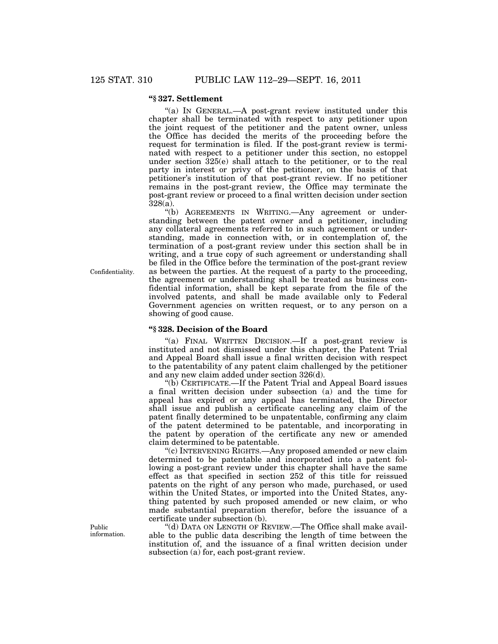# **''§ 327. Settlement**

"(a) IN GENERAL.—A post-grant review instituted under this chapter shall be terminated with respect to any petitioner upon the joint request of the petitioner and the patent owner, unless the Office has decided the merits of the proceeding before the request for termination is filed. If the post-grant review is terminated with respect to a petitioner under this section, no estoppel under section 325(e) shall attach to the petitioner, or to the real party in interest or privy of the petitioner, on the basis of that petitioner's institution of that post-grant review. If no petitioner remains in the post-grant review, the Office may terminate the post-grant review or proceed to a final written decision under section 328(a).

''(b) AGREEMENTS IN WRITING.—Any agreement or understanding between the patent owner and a petitioner, including any collateral agreements referred to in such agreement or understanding, made in connection with, or in contemplation of, the termination of a post-grant review under this section shall be in writing, and a true copy of such agreement or understanding shall be filed in the Office before the termination of the post-grant review as between the parties. At the request of a party to the proceeding, the agreement or understanding shall be treated as business confidential information, shall be kept separate from the file of the involved patents, and shall be made available only to Federal Government agencies on written request, or to any person on a showing of good cause.

#### **''§ 328. Decision of the Board**

''(a) FINAL WRITTEN DECISION.—If a post-grant review is instituted and not dismissed under this chapter, the Patent Trial and Appeal Board shall issue a final written decision with respect to the patentability of any patent claim challenged by the petitioner and any new claim added under section 326(d).

''(b) CERTIFICATE.—If the Patent Trial and Appeal Board issues a final written decision under subsection (a) and the time for appeal has expired or any appeal has terminated, the Director shall issue and publish a certificate canceling any claim of the patent finally determined to be unpatentable, confirming any claim of the patent determined to be patentable, and incorporating in the patent by operation of the certificate any new or amended claim determined to be patentable.

''(c) INTERVENING RIGHTS.—Any proposed amended or new claim determined to be patentable and incorporated into a patent following a post-grant review under this chapter shall have the same effect as that specified in section 252 of this title for reissued patents on the right of any person who made, purchased, or used within the United States, or imported into the United States, anything patented by such proposed amended or new claim, or who made substantial preparation therefor, before the issuance of a certificate under subsection (b).

''(d) DATA ON LENGTH OF REVIEW.—The Office shall make available to the public data describing the length of time between the institution of, and the issuance of a final written decision under subsection (a) for, each post-grant review.

Confidentiality.

Public information.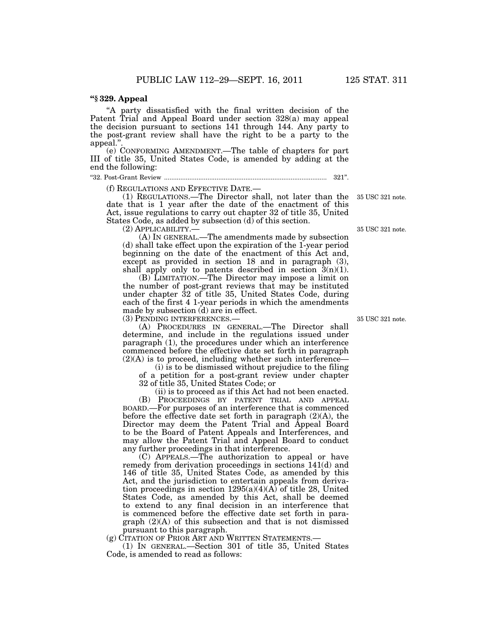''A party dissatisfied with the final written decision of the Patent Trial and Appeal Board under section 328(a) may appeal the decision pursuant to sections 141 through 144. Any party to the post-grant review shall have the right to be a party to the appeal.''.

(e) CONFORMING AMENDMENT.—The table of chapters for part III of title 35, United States Code, is amended by adding at the end the following:

''32. Post-Grant Review .......................................................................................... 321''.

(f) REGULATIONS AND EFFECTIVE DATE.— (1) REGULATIONS.—The Director shall, not later than the date that is 1 year after the date of the enactment of this Act, issue regulations to carry out chapter 32 of title 35, United States Code, as added by subsection (d) of this section.

(2) APPLICABILITY.—

(A) IN GENERAL.—The amendments made by subsection (d) shall take effect upon the expiration of the 1-year period beginning on the date of the enactment of this Act and, except as provided in section 18 and in paragraph (3), shall apply only to patents described in section  $\mathfrak{F}(n)(1)$ .

(B) LIMITATION.—The Director may impose a limit on the number of post-grant reviews that may be instituted under chapter 32 of title 35, United States Code, during each of the first 4 1-year periods in which the amendments made by subsection (d) are in effect.

(3) PENDING INTERFERENCES.—

(A) PROCEDURES IN GENERAL.—The Director shall determine, and include in the regulations issued under paragraph (1), the procedures under which an interference commenced before the effective date set forth in paragraph  $(2)(A)$  is to proceed, including whether such interference—

(i) is to be dismissed without prejudice to the filing of a petition for a post-grant review under chapter 32 of title 35, United States Code; or

(ii) is to proceed as if this Act had not been enacted. (B) PROCEEDINGS BY PATENT TRIAL AND APPEAL BOARD.—For purposes of an interference that is commenced before the effective date set forth in paragraph (2)(A), the Director may deem the Patent Trial and Appeal Board to be the Board of Patent Appeals and Interferences, and may allow the Patent Trial and Appeal Board to conduct any further proceedings in that interference.

(C) APPEALS.—The authorization to appeal or have remedy from derivation proceedings in sections 141(d) and 146 of title 35, United States Code, as amended by this Act, and the jurisdiction to entertain appeals from derivation proceedings in section  $1295(a)(4)(A)$  of title 28, United States Code, as amended by this Act, shall be deemed to extend to any final decision in an interference that is commenced before the effective date set forth in paragraph (2)(A) of this subsection and that is not dismissed pursuant to this paragraph.<br>(g) CITATION OF PRIOR ART AND WRITTEN STATEMENTS.—

(1) IN GENERAL.—Section 301 of title 35, United States Code, is amended to read as follows:

35 USC 321 note.

35 USC 321 note.

35 USC 321 note.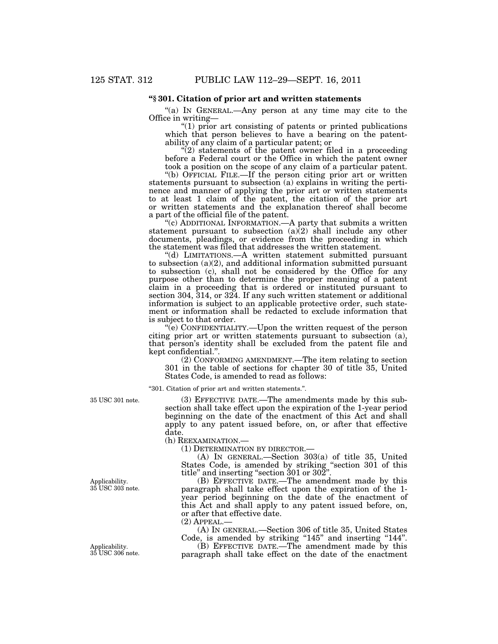### **''§ 301. Citation of prior art and written statements**

"(a) IN GENERAL.—Any person at any time may cite to the Office in writing—

''(1) prior art consisting of patents or printed publications which that person believes to have a bearing on the patentability of any claim of a particular patent; or

 $(2)$  statements of the patent owner filed in a proceeding before a Federal court or the Office in which the patent owner took a position on the scope of any claim of a particular patent.

''(b) OFFICIAL FILE.—If the person citing prior art or written statements pursuant to subsection (a) explains in writing the pertinence and manner of applying the prior art or written statements to at least 1 claim of the patent, the citation of the prior art or written statements and the explanation thereof shall become a part of the official file of the patent.

''(c) ADDITIONAL INFORMATION.—A party that submits a written statement pursuant to subsection  $(a)(2)$  shall include any other documents, pleadings, or evidence from the proceeding in which the statement was filed that addresses the written statement.

''(d) LIMITATIONS.—A written statement submitted pursuant to subsection (a)(2), and additional information submitted pursuant to subsection (c), shall not be considered by the Office for any purpose other than to determine the proper meaning of a patent claim in a proceeding that is ordered or instituted pursuant to section 304, 314, or 324. If any such written statement or additional information is subject to an applicable protective order, such statement or information shall be redacted to exclude information that is subject to that order.

''(e) CONFIDENTIALITY.—Upon the written request of the person citing prior art or written statements pursuant to subsection (a), that person's identity shall be excluded from the patent file and kept confidential.''.

(2) CONFORMING AMENDMENT.—The item relating to section 301 in the table of sections for chapter 30 of title 35, United States Code, is amended to read as follows:

''301. Citation of prior art and written statements.''.

35 USC 301 note.

(3) EFFECTIVE DATE.—The amendments made by this subsection shall take effect upon the expiration of the 1-year period beginning on the date of the enactment of this Act and shall apply to any patent issued before, on, or after that effective date.

(h) REEXAMINATION.—

(1) DETERMINATION BY DIRECTOR.—

(A) IN GENERAL.—Section 303(a) of title 35, United States Code, is amended by striking ''section 301 of this title" and inserting "section 301 or 302".

(B) EFFECTIVE DATE.—The amendment made by this paragraph shall take effect upon the expiration of the 1 year period beginning on the date of the enactment of this Act and shall apply to any patent issued before, on, or after that effective date.

(2) APPEAL.—

(A) IN GENERAL.—Section 306 of title 35, United States Code, is amended by striking "145" and inserting "144".

(B) EFFECTIVE DATE.—The amendment made by this paragraph shall take effect on the date of the enactment

Applicability. 35 USC 303 note.

Applicability. 35 USC 306 note.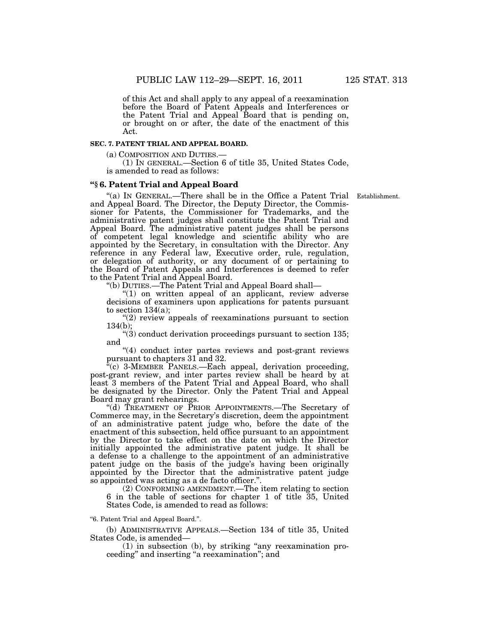of this Act and shall apply to any appeal of a reexamination before the Board of Patent Appeals and Interferences or the Patent Trial and Appeal Board that is pending on, or brought on or after, the date of the enactment of this Act.

# **SEC. 7. PATENT TRIAL AND APPEAL BOARD.**

(a) COMPOSITION AND DUTIES.—

(1) IN GENERAL.—Section 6 of title 35, United States Code, is amended to read as follows:

# **''§ 6. Patent Trial and Appeal Board**

"(a) IN GENERAL.—There shall be in the Office a Patent Trial Establishment. and Appeal Board. The Director, the Deputy Director, the Commissioner for Patents, the Commissioner for Trademarks, and the administrative patent judges shall constitute the Patent Trial and Appeal Board. The administrative patent judges shall be persons of competent legal knowledge and scientific ability who are appointed by the Secretary, in consultation with the Director. Any reference in any Federal law, Executive order, rule, regulation, or delegation of authority, or any document of or pertaining to the Board of Patent Appeals and Interferences is deemed to refer to the Patent Trial and Appeal Board.

''(b) DUTIES.—The Patent Trial and Appeal Board shall—

"(1) on written appeal of an applicant, review adverse decisions of examiners upon applications for patents pursuant to section  $134(a)$ ;

"(2) review appeals of reexaminations pursuant to section 134(b);

 $\degree$ (3) conduct derivation proceedings pursuant to section 135; and

"(4) conduct inter partes reviews and post-grant reviews pursuant to chapters 31 and 32.

 $\epsilon$ <sup>c</sup>(c) 3-MEMBER PANELS.—Each appeal, derivation proceeding, post-grant review, and inter partes review shall be heard by at least 3 members of the Patent Trial and Appeal Board, who shall be designated by the Director. Only the Patent Trial and Appeal Board may grant rehearings.

''(d) TREATMENT OF PRIOR APPOINTMENTS.—The Secretary of Commerce may, in the Secretary's discretion, deem the appointment of an administrative patent judge who, before the date of the enactment of this subsection, held office pursuant to an appointment by the Director to take effect on the date on which the Director initially appointed the administrative patent judge. It shall be a defense to a challenge to the appointment of an administrative patent judge on the basis of the judge's having been originally appointed by the Director that the administrative patent judge so appointed was acting as a de facto officer.''.

(2) CONFORMING AMENDMENT.—The item relating to section 6 in the table of sections for chapter 1 of title 35, United States Code, is amended to read as follows:

''6. Patent Trial and Appeal Board.''.

(b) ADMINISTRATIVE APPEALS.—Section 134 of title 35, United States Code, is amended—

(1) in subsection (b), by striking ''any reexamination proceeding'' and inserting ''a reexamination''; and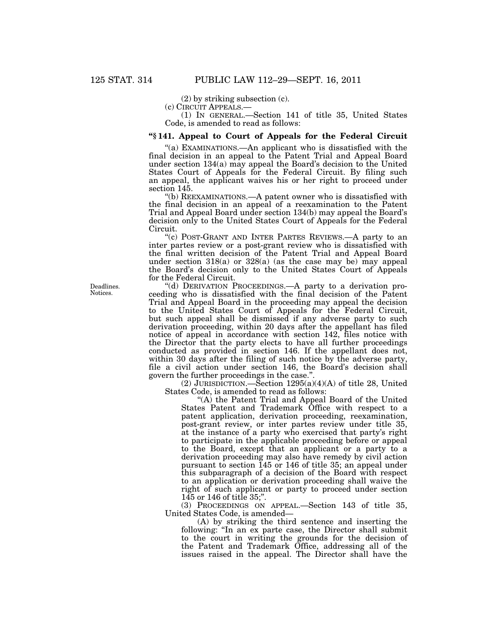(2) by striking subsection (c).<br>(c) CIRCUIT APPEALS.—

(1) IN GENERAL.—Section 141 of title 35, United States Code, is amended to read as follows:

# **''§ 141. Appeal to Court of Appeals for the Federal Circuit**

"(a) EXAMINATIONS.—An applicant who is dissatisfied with the final decision in an appeal to the Patent Trial and Appeal Board under section 134(a) may appeal the Board's decision to the United States Court of Appeals for the Federal Circuit. By filing such an appeal, the applicant waives his or her right to proceed under section 145.

''(b) REEXAMINATIONS.—A patent owner who is dissatisfied with the final decision in an appeal of a reexamination to the Patent Trial and Appeal Board under section 134(b) may appeal the Board's decision only to the United States Court of Appeals for the Federal Circuit.

''(c) POST-GRANT AND INTER PARTES REVIEWS.—A party to an inter partes review or a post-grant review who is dissatisfied with the final written decision of the Patent Trial and Appeal Board under section  $318(a)$  or  $328(a)$  (as the case may be) may appeal the Board's decision only to the United States Court of Appeals for the Federal Circuit.

''(d) DERIVATION PROCEEDINGS.—A party to a derivation proceeding who is dissatisfied with the final decision of the Patent Trial and Appeal Board in the proceeding may appeal the decision to the United States Court of Appeals for the Federal Circuit, but such appeal shall be dismissed if any adverse party to such derivation proceeding, within 20 days after the appellant has filed notice of appeal in accordance with section 142, files notice with the Director that the party elects to have all further proceedings conducted as provided in section 146. If the appellant does not, within 30 days after the filing of such notice by the adverse party, file a civil action under section 146, the Board's decision shall govern the further proceedings in the case.''.

(2) JURISDICTION.—Section  $1295(a)(4)(A)$  of title 28, United States Code, is amended to read as follows:

''(A) the Patent Trial and Appeal Board of the United States Patent and Trademark Office with respect to a patent application, derivation proceeding, reexamination, post-grant review, or inter partes review under title 35, at the instance of a party who exercised that party's right to participate in the applicable proceeding before or appeal to the Board, except that an applicant or a party to a derivation proceeding may also have remedy by civil action pursuant to section 145 or 146 of title 35; an appeal under this subparagraph of a decision of the Board with respect to an application or derivation proceeding shall waive the right of such applicant or party to proceed under section 145 or 146 of title 35;''.

(3) PROCEEDINGS ON APPEAL.—Section 143 of title 35, United States Code, is amended—

(A) by striking the third sentence and inserting the following: ''In an ex parte case, the Director shall submit to the court in writing the grounds for the decision of the Patent and Trademark Office, addressing all of the issues raised in the appeal. The Director shall have the

Deadlines. Notices.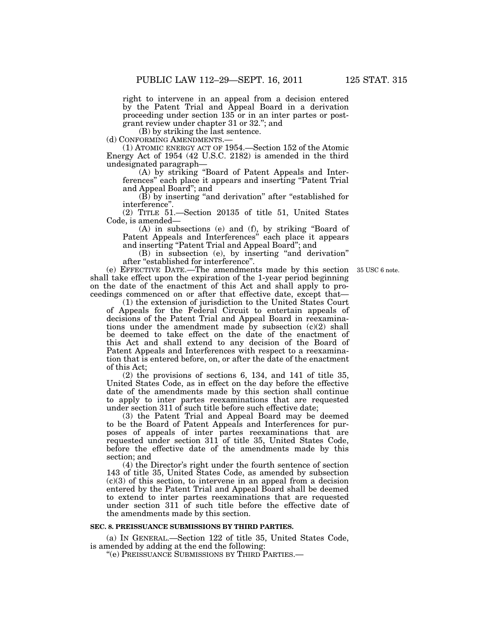right to intervene in an appeal from a decision entered by the Patent Trial and Appeal Board in a derivation proceeding under section 135 or in an inter partes or postgrant review under chapter 31 or 32.''; and

 $(B)$  by striking the last sentence.<br>(d) CONFORMING AMENDMENTS.—

 $(1)$  ATOMIC ENERGY ACT OF 1954.—Section 152 of the Atomic Energy Act of 1954 (42 U.S.C. 2182) is amended in the third undesignated paragraph—

(A) by striking ''Board of Patent Appeals and Interferences" each place it appears and inserting "Patent Trial" and Appeal Board''; and

 $(B)$  by inserting "and derivation" after "established for interference''.

(2) TITLE 51.—Section 20135 of title 51, United States Code, is amended—

(A) in subsections (e) and (f), by striking ''Board of Patent Appeals and Interferences'' each place it appears and inserting "Patent Trial and Appeal Board"; and

(B) in subsection (e), by inserting ''and derivation'' after ''established for interference''.

35 USC 6 note.

(e) EFFECTIVE DATE.—The amendments made by this section shall take effect upon the expiration of the 1-year period beginning on the date of the enactment of this Act and shall apply to proceedings commenced on or after that effective date, except that—

(1) the extension of jurisdiction to the United States Court of Appeals for the Federal Circuit to entertain appeals of decisions of the Patent Trial and Appeal Board in reexaminations under the amendment made by subsection  $(c)(2)$  shall be deemed to take effect on the date of the enactment of this Act and shall extend to any decision of the Board of Patent Appeals and Interferences with respect to a reexamination that is entered before, on, or after the date of the enactment of this Act;

(2) the provisions of sections 6, 134, and 141 of title 35, United States Code, as in effect on the day before the effective date of the amendments made by this section shall continue to apply to inter partes reexaminations that are requested under section 311 of such title before such effective date;

(3) the Patent Trial and Appeal Board may be deemed to be the Board of Patent Appeals and Interferences for purposes of appeals of inter partes reexaminations that are requested under section 311 of title 35, United States Code, before the effective date of the amendments made by this section; and

(4) the Director's right under the fourth sentence of section 143 of title 35, United States Code, as amended by subsection (c)(3) of this section, to intervene in an appeal from a decision entered by the Patent Trial and Appeal Board shall be deemed to extend to inter partes reexaminations that are requested under section 311 of such title before the effective date of the amendments made by this section.

#### **SEC. 8. PREISSUANCE SUBMISSIONS BY THIRD PARTIES.**

(a) IN GENERAL.—Section 122 of title 35, United States Code, is amended by adding at the end the following:

''(e) PREISSUANCE SUBMISSIONS BY THIRD PARTIES.—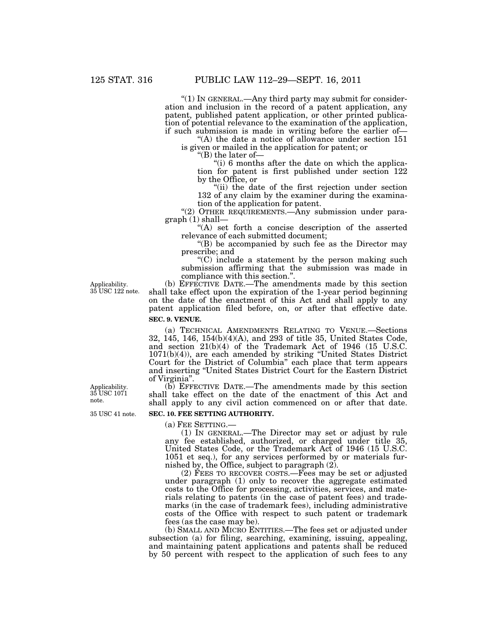" $(1)$  In GENERAL.—Any third party may submit for consideration and inclusion in the record of a patent application, any patent, published patent application, or other printed publication of potential relevance to the examination of the application, if such submission is made in writing before the earlier of—

''(A) the date a notice of allowance under section 151 is given or mailed in the application for patent; or

''(B) the later of—

''(i) 6 months after the date on which the application for patent is first published under section 122 by the Office, or

"(ii) the date of the first rejection under section 132 of any claim by the examiner during the examination of the application for patent.

"(2) OTHER REQUIREMENTS.—Any submission under paragraph (1) shall—

''(A) set forth a concise description of the asserted relevance of each submitted document;

 $'(B)$  be accompanied by such fee as the Director may prescribe; and

 $(C)$  include a statement by the person making such submission affirming that the submission was made in compliance with this section.''.

Applicability. 35 USC 122 note.

(b) EFFECTIVE DATE.—The amendments made by this section shall take effect upon the expiration of the 1-year period beginning on the date of the enactment of this Act and shall apply to any patent application filed before, on, or after that effective date. **SEC. 9. VENUE.** 

(a) TECHNICAL AMENDMENTS RELATING TO VENUE.—Sections 32, 145, 146, 154(b)(4)(A), and 293 of title 35, United States Code, and section 21(b)(4) of the Trademark Act of 1946 (15 U.S.C. 1071(b)(4)), are each amended by striking ''United States District Court for the District of Columbia'' each place that term appears and inserting ''United States District Court for the Eastern District of Virginia''.

(b) EFFECTIVE DATE.—The amendments made by this section shall take effect on the date of the enactment of this Act and shall apply to any civil action commenced on or after that date.

# **SEC. 10. FEE SETTING AUTHORITY.**

(a) FEE SETTING.— (1) IN GENERAL.—The Director may set or adjust by rule any fee established, authorized, or charged under title 35, United States Code, or the Trademark Act of 1946 (15 U.S.C. 1051 et seq.), for any services performed by or materials furnished by, the Office, subject to paragraph (2).

(2) FEES TO RECOVER COSTS.—Fees may be set or adjusted under paragraph (1) only to recover the aggregate estimated costs to the Office for processing, activities, services, and materials relating to patents (in the case of patent fees) and trademarks (in the case of trademark fees), including administrative costs of the Office with respect to such patent or trademark fees (as the case may be).

(b) SMALL AND MICRO ENTITIES.—The fees set or adjusted under subsection (a) for filing, searching, examining, issuing, appealing, and maintaining patent applications and patents shall be reduced by 50 percent with respect to the application of such fees to any

Applicability. 35 USC 1071 note.

35 USC 41 note.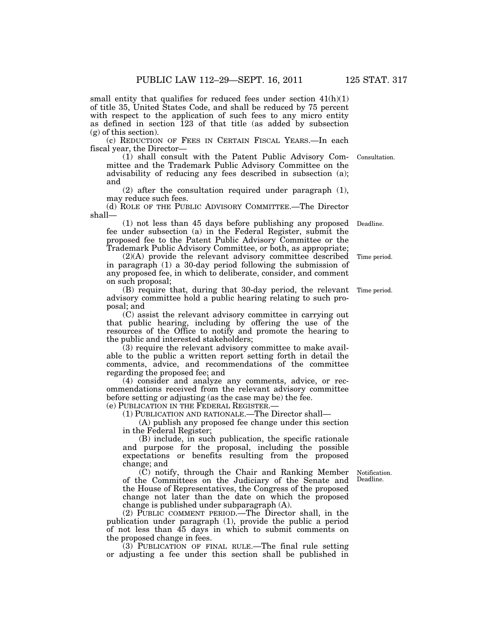small entity that qualifies for reduced fees under section  $41(h)(1)$ of title 35, United States Code, and shall be reduced by 75 percent with respect to the application of such fees to any micro entity as defined in section 123 of that title (as added by subsection (g) of this section).

(c) REDUCTION OF FEES IN CERTAIN FISCAL YEARS.—In each fiscal year, the Director—

(1) shall consult with the Patent Public Advisory Committee and the Trademark Public Advisory Committee on the advisability of reducing any fees described in subsection (a); and

(2) after the consultation required under paragraph (1), may reduce such fees.

(d) ROLE OF THE PUBLIC ADVISORY COMMITTEE.—The Director shall—

(1) not less than 45 days before publishing any proposed fee under subsection (a) in the Federal Register, submit the proposed fee to the Patent Public Advisory Committee or the Trademark Public Advisory Committee, or both, as appropriate;

(2)(A) provide the relevant advisory committee described in paragraph (1) a 30-day period following the submission of any proposed fee, in which to deliberate, consider, and comment on such proposal; Time period.

(B) require that, during that 30-day period, the relevant advisory committee hold a public hearing relating to such proposal; and

(C) assist the relevant advisory committee in carrying out that public hearing, including by offering the use of the resources of the Office to notify and promote the hearing to the public and interested stakeholders;

(3) require the relevant advisory committee to make available to the public a written report setting forth in detail the comments, advice, and recommendations of the committee regarding the proposed fee; and

(4) consider and analyze any comments, advice, or recommendations received from the relevant advisory committee before setting or adjusting (as the case may be) the fee. (e) PUBLICATION IN THE FEDERAL REGISTER.—

(1) PUBLICATION AND RATIONALE.—The Director shall—

(A) publish any proposed fee change under this section in the Federal Register;

(B) include, in such publication, the specific rationale and purpose for the proposal, including the possible expectations or benefits resulting from the proposed change; and

(C) notify, through the Chair and Ranking Member of the Committees on the Judiciary of the Senate and the House of Representatives, the Congress of the proposed change not later than the date on which the proposed change is published under subparagraph (A).

(2) PUBLIC COMMENT PERIOD.—The Director shall, in the publication under paragraph (1), provide the public a period of not less than 45 days in which to submit comments on the proposed change in fees.

(3) PUBLICATION OF FINAL RULE.—The final rule setting or adjusting a fee under this section shall be published in

Notification. Deadline.

Time period.

Deadline.

Consultation.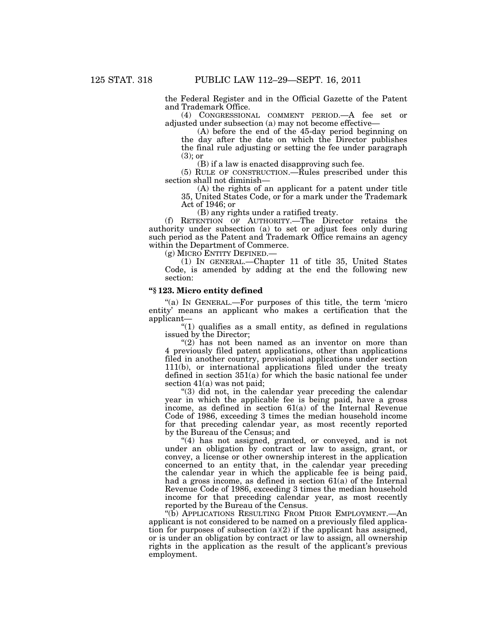the Federal Register and in the Official Gazette of the Patent and Trademark Office.

(4) CONGRESSIONAL COMMENT PERIOD.—A fee set or adjusted under subsection (a) may not become effective—

(A) before the end of the 45-day period beginning on the day after the date on which the Director publishes the final rule adjusting or setting the fee under paragraph (3); or

(B) if a law is enacted disapproving such fee.

(5) RULE OF CONSTRUCTION.—Rules prescribed under this section shall not diminish—

(A) the rights of an applicant for a patent under title 35, United States Code, or for a mark under the Trademark Act of 1946; or

(B) any rights under a ratified treaty.

(f) RETENTION OF AUTHORITY.—The Director retains the authority under subsection (a) to set or adjust fees only during such period as the Patent and Trademark Office remains an agency within the Department of Commerce.

(g) MICRO ENTITY DEFINED.—

(1) IN GENERAL.—Chapter 11 of title 35, United States Code, is amended by adding at the end the following new section:

#### **''§ 123. Micro entity defined**

"(a) IN GENERAL.—For purposes of this title, the term 'micro entity' means an applicant who makes a certification that the applicant—

" $(1)$  qualifies as a small entity, as defined in regulations issued by the Director;

" $(2)$  has not been named as an inventor on more than 4 previously filed patent applications, other than applications filed in another country, provisional applications under section 111(b), or international applications filed under the treaty defined in section 351(a) for which the basic national fee under section 41(a) was not paid;

''(3) did not, in the calendar year preceding the calendar year in which the applicable fee is being paid, have a gross income, as defined in section 61(a) of the Internal Revenue Code of 1986, exceeding 3 times the median household income for that preceding calendar year, as most recently reported by the Bureau of the Census; and

"(4) has not assigned, granted, or conveyed, and is not under an obligation by contract or law to assign, grant, or convey, a license or other ownership interest in the application concerned to an entity that, in the calendar year preceding the calendar year in which the applicable fee is being paid, had a gross income, as defined in section 61(a) of the Internal Revenue Code of 1986, exceeding 3 times the median household income for that preceding calendar year, as most recently reported by the Bureau of the Census.

''(b) APPLICATIONS RESULTING FROM PRIOR EMPLOYMENT.—An applicant is not considered to be named on a previously filed application for purposes of subsection  $(a)(2)$  if the applicant has assigned, or is under an obligation by contract or law to assign, all ownership rights in the application as the result of the applicant's previous employment.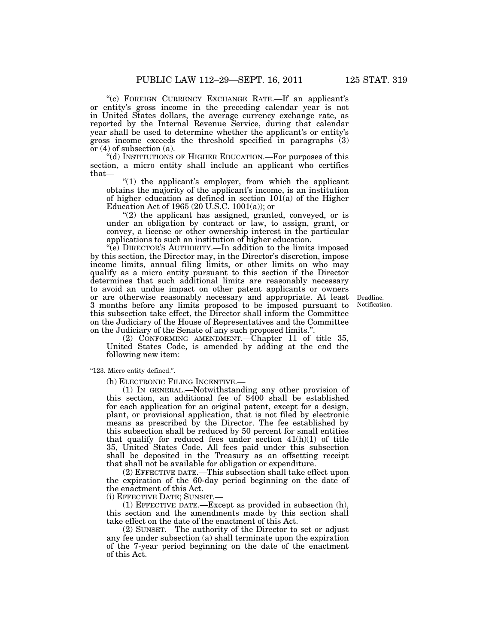''(c) FOREIGN CURRENCY EXCHANGE RATE.—If an applicant's or entity's gross income in the preceding calendar year is not in United States dollars, the average currency exchange rate, as reported by the Internal Revenue Service, during that calendar year shall be used to determine whether the applicant's or entity's gross income exceeds the threshold specified in paragraphs (3) or (4) of subsection (a).

''(d) INSTITUTIONS OF HIGHER EDUCATION.—For purposes of this section, a micro entity shall include an applicant who certifies that—

" $(1)$  the applicant's employer, from which the applicant obtains the majority of the applicant's income, is an institution of higher education as defined in section 101(a) of the Higher Education Act of 1965 (20 U.S.C. 1001(a)); or

"(2) the applicant has assigned, granted, conveyed, or is under an obligation by contract or law, to assign, grant, or convey, a license or other ownership interest in the particular applications to such an institution of higher education.

"(e) DIRECTOR'S AUTHORITY.—In addition to the limits imposed by this section, the Director may, in the Director's discretion, impose income limits, annual filing limits, or other limits on who may qualify as a micro entity pursuant to this section if the Director determines that such additional limits are reasonably necessary to avoid an undue impact on other patent applicants or owners or are otherwise reasonably necessary and appropriate. At least 3 months before any limits proposed to be imposed pursuant to this subsection take effect, the Director shall inform the Committee on the Judiciary of the House of Representatives and the Committee on the Judiciary of the Senate of any such proposed limits.

Deadline. Notification.

(2) CONFORMING AMENDMENT.—Chapter 11 of title 35, United States Code, is amended by adding at the end the following new item:

''123. Micro entity defined.''.

(h) ELECTRONIC FILING INCENTIVE.—

(1) IN GENERAL.—Notwithstanding any other provision of this section, an additional fee of \$400 shall be established for each application for an original patent, except for a design, plant, or provisional application, that is not filed by electronic means as prescribed by the Director. The fee established by this subsection shall be reduced by 50 percent for small entities that qualify for reduced fees under section  $41(h)(1)$  of title 35, United States Code. All fees paid under this subsection shall be deposited in the Treasury as an offsetting receipt that shall not be available for obligation or expenditure.

(2) EFFECTIVE DATE.—This subsection shall take effect upon the expiration of the 60-day period beginning on the date of the enactment of this Act.

(i) EFFECTIVE DATE; SUNSET.—

(1) EFFECTIVE DATE.—Except as provided in subsection (h), this section and the amendments made by this section shall take effect on the date of the enactment of this Act.

(2) SUNSET.—The authority of the Director to set or adjust any fee under subsection (a) shall terminate upon the expiration of the 7-year period beginning on the date of the enactment of this Act.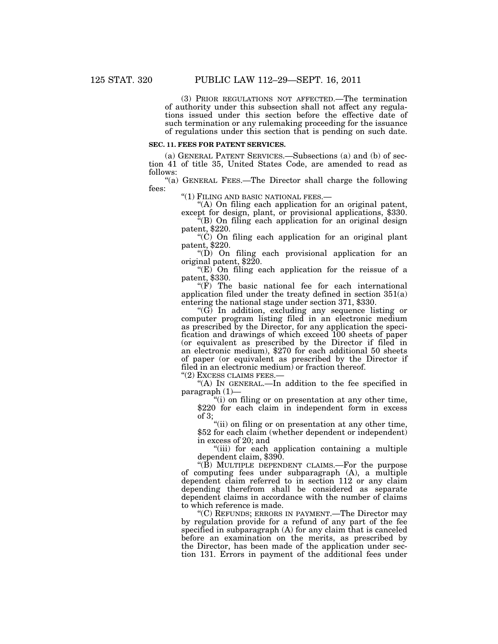(3) PRIOR REGULATIONS NOT AFFECTED.—The termination of authority under this subsection shall not affect any regulations issued under this section before the effective date of such termination or any rulemaking proceeding for the issuance of regulations under this section that is pending on such date.

#### **SEC. 11. FEES FOR PATENT SERVICES.**

(a) GENERAL PATENT SERVICES.—Subsections (a) and (b) of section 41 of title 35, United States Code, are amended to read as follows:

''(a) GENERAL FEES.—The Director shall charge the following fees:

''(1) FILING AND BASIC NATIONAL FEES.— ''(A) On filing each application for an original patent, except for design, plant, or provisional applications, \$330.

''(B) On filing each application for an original design patent, \$220.

''(C) On filing each application for an original plant patent, \$220.

''(D) On filing each provisional application for an original patent, \$220.

 $(C(E)$  On filing each application for the reissue of a patent, \$330.

" $(F)$  The basic national fee for each international application filed under the treaty defined in section 351(a) entering the national stage under section 371, \$330.

''(G) In addition, excluding any sequence listing or computer program listing filed in an electronic medium as prescribed by the Director, for any application the specification and drawings of which exceed 100 sheets of paper (or equivalent as prescribed by the Director if filed in an electronic medium), \$270 for each additional 50 sheets of paper (or equivalent as prescribed by the Director if filed in an electronic medium) or fraction thereof.<br>"(2) EXCESS CLAIMS FEES.—

"(A) IN GENERAL.—In addition to the fee specified in paragraph (1)—

''(i) on filing or on presentation at any other time, \$220 for each claim in independent form in excess of 3;

"(ii) on filing or on presentation at any other time, \$52 for each claim (whether dependent or independent) in excess of 20; and

''(iii) for each application containing a multiple dependent claim, \$390.

" $(\vec{B})$  MULTIPLE DEPENDENT CLAIMS.—For the purpose of computing fees under subparagraph (A), a multiple dependent claim referred to in section 112 or any claim depending therefrom shall be considered as separate dependent claims in accordance with the number of claims to which reference is made.

''(C) REFUNDS; ERRORS IN PAYMENT.—The Director may by regulation provide for a refund of any part of the fee specified in subparagraph (A) for any claim that is canceled before an examination on the merits, as prescribed by the Director, has been made of the application under section 131. Errors in payment of the additional fees under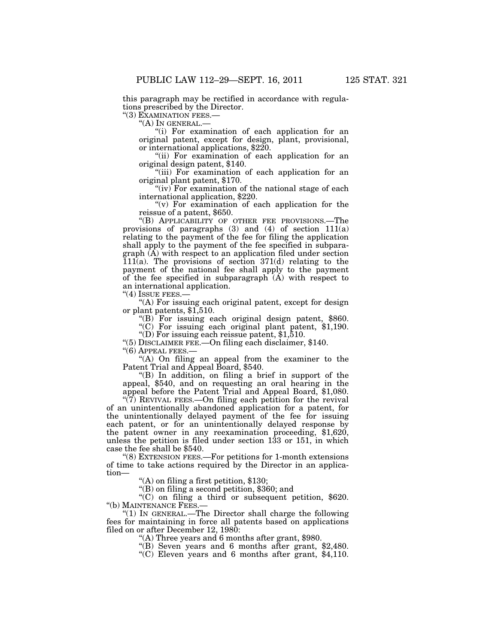this paragraph may be rectified in accordance with regulations prescribed by the Director.

"(3) EXAMINATION FEES.-

"(A) IN GENERAL.—<br>"(i) For examination of each application for an original patent, except for design, plant, provisional, or international applications, \$220.

''(ii) For examination of each application for an original design patent, \$140.

''(iii) For examination of each application for an original plant patent, \$170.

''(iv) For examination of the national stage of each international application, \$220.

"(v) For examination of each application for the reissue of a patent,  $$650$ .

''(B) APPLICABILITY OF OTHER FEE PROVISIONS.—The provisions of paragraphs  $(3)$  and  $(4)$  of section 111 $(a)$ relating to the payment of the fee for filing the application shall apply to the payment of the fee specified in subparagraph (A) with respect to an application filed under section  $111(a)$ . The provisions of section 371(d) relating to the payment of the national fee shall apply to the payment of the fee specified in subparagraph  $(A)$  with respect to an international application.

 $''(4)$  ISSUE FEES.-

''(A) For issuing each original patent, except for design or plant patents, \$1,510.

''(B) For issuing each original design patent, \$860.

''(C) For issuing each original plant patent, \$1,190. ''(D) For issuing each reissue patent, \$1,510.

''(5) DISCLAIMER FEE.—On filing each disclaimer, \$140.

''(6) APPEAL FEES.—

"(A) On filing an appeal from the examiner to the Patent Trial and Appeal Board, \$540.<br>"(B) In addition, on filing a brief in support of the

appeal, \$540, and on requesting an oral hearing in the appeal before the Patent Trial and Appeal Board, \$1,080.

"(7) REVIVAL FEES.—On filing each petition for the revival of an unintentionally abandoned application for a patent, for the unintentionally delayed payment of the fee for issuing each patent, or for an unintentionally delayed response by the patent owner in any reexamination proceeding, \$1,620, unless the petition is filed under section 133 or 151, in which case the fee shall be \$540.

''(8) EXTENSION FEES.—For petitions for 1-month extensions of time to take actions required by the Director in an application—

"(A) on filing a first petition,  $$130;$ 

''(B) on filing a second petition, \$360; and

"(C) on filing a third or subsequent petition, \$620.<br>"(b) MAINTENANCE FEES.—

" $(1)$  In GENERAL.—The Director shall charge the following fees for maintaining in force all patents based on applications filed on or after December 12, 1980:

''(A) Three years and 6 months after grant, \$980.

''(B) Seven years and 6 months after grant, \$2,480.

"(C) Eleven years and 6 months after grant,  $$4,110$ .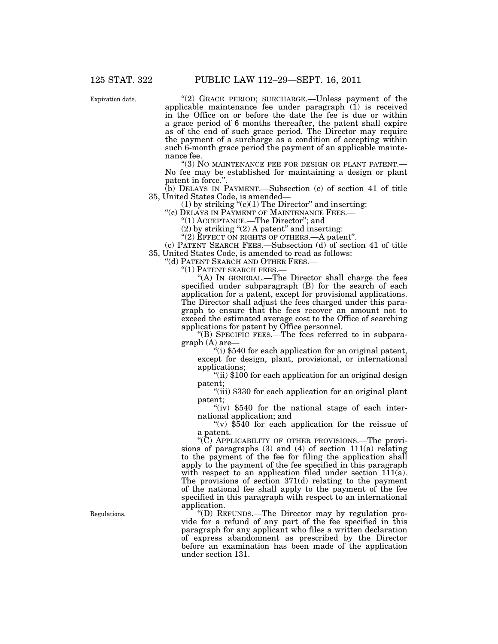Expiration date.

"(2) GRACE PERIOD; SURCHARGE.—Unless payment of the applicable maintenance fee under paragraph (1) is received in the Office on or before the date the fee is due or within a grace period of 6 months thereafter, the patent shall expire as of the end of such grace period. The Director may require the payment of a surcharge as a condition of accepting within such 6-month grace period the payment of an applicable maintenance fee.<br>
"(3) No MAINTENANCE FEE FOR DESIGN OR PLANT PATENT.—

No fee may be established for maintaining a design or plant patent in force.'

(b) DELAYS IN PAYMENT.—Subsection (c) of section 41 of title 35, United States Code, is amended—

(1) by striking " $(c)(1)$  The Director" and inserting:

''(c) DELAYS IN PAYMENT OF MAINTENANCE FEES.— ''(1) ACCEPTANCE.—The Director''; and

 $(2)$  by striking " $(2)$  A patent" and inserting:

"(2) EFFECT ON RIGHTS OF OTHERS.—A patent".

(c) PATENT SEARCH FEES.—Subsection (d) of section 41 of title 35, United States Code, is amended to read as follows:

''(d) PATENT SEARCH AND OTHER FEES.—

''(1) PATENT SEARCH FEES.—

''(A) IN GENERAL.—The Director shall charge the fees specified under subparagraph (B) for the search of each application for a patent, except for provisional applications. The Director shall adjust the fees charged under this paragraph to ensure that the fees recover an amount not to exceed the estimated average cost to the Office of searching applications for patent by Office personnel.

''(B) SPECIFIC FEES.—The fees referred to in subpara $graph(A)$  are-

''(i) \$540 for each application for an original patent, except for design, plant, provisional, or international applications;

"(ii) \$100 for each application for an original design patent;

''(iii) \$330 for each application for an original plant patent;

" $(iv)$  \$540 for the national stage of each international application; and

" $(v)$  \$540 for each application for the reissue of a patent.

''(C) APPLICABILITY OF OTHER PROVISIONS.—The provisions of paragraphs  $(3)$  and  $(4)$  of section 111 $(a)$  relating to the payment of the fee for filing the application shall apply to the payment of the fee specified in this paragraph with respect to an application filed under section  $111(a)$ . The provisions of section 371(d) relating to the payment of the national fee shall apply to the payment of the fee specified in this paragraph with respect to an international application.

''(D) REFUNDS.—The Director may by regulation provide for a refund of any part of the fee specified in this paragraph for any applicant who files a written declaration of express abandonment as prescribed by the Director before an examination has been made of the application under section 131.

Regulations.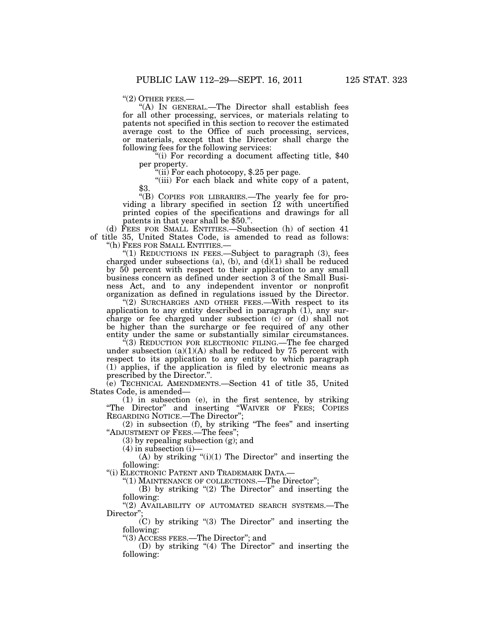''(2) OTHER FEES.— ''(A) IN GENERAL.—The Director shall establish fees for all other processing, services, or materials relating to patents not specified in this section to recover the estimated average cost to the Office of such processing, services, or materials, except that the Director shall charge the following fees for the following services:

''(i) For recording a document affecting title, \$40 per property.

''(ii) For each photocopy, \$.25 per page.

"(iii) For each black and white copy of a patent, \$3.

''(B) COPIES FOR LIBRARIES.—The yearly fee for providing a library specified in section 12 with uncertified printed copies of the specifications and drawings for all patents in that year shall be \$50.''.

(d) FEES FOR SMALL ENTITIES.—Subsection (h) of section 41 of title 35, United States Code, is amended to read as follows: ''(h) FEES FOR SMALL ENTITIES.—

''(1) REDUCTIONS IN FEES.—Subject to paragraph (3), fees charged under subsections (a), (b), and  $(d)(1)$  shall be reduced by 50 percent with respect to their application to any small business concern as defined under section 3 of the Small Business Act, and to any independent inventor or nonprofit organization as defined in regulations issued by the Director.

"(2) SURCHARGES AND OTHER FEES.—With respect to its application to any entity described in paragraph (1), any surcharge or fee charged under subsection  $(c)$  or  $(d)$  shall not be higher than the surcharge or fee required of any other entity under the same or substantially similar circumstances.

''(3) REDUCTION FOR ELECTRONIC FILING.—The fee charged under subsection  $(a)(1)(A)$  shall be reduced by 75 percent with respect to its application to any entity to which paragraph (1) applies, if the application is filed by electronic means as prescribed by the Director.''.

(e) TECHNICAL AMENDMENTS.—Section 41 of title 35, United States Code, is amended—

(1) in subsection (e), in the first sentence, by striking ''The Director'' and inserting ''WAIVER OF FEES; COPIES REGARDING NOTICE.—The Director'';

(2) in subsection (f), by striking ''The fees'' and inserting ''ADJUSTMENT OF FEES.—The fees'';

(3) by repealing subsection (g); and

 $(4)$  in subsection  $(i)$ —

(A) by striking  $(ii)(1)$  The Director" and inserting the following:

''(i) ELECTRONIC PATENT AND TRADEMARK DATA.—

''(1) MAINTENANCE OF COLLECTIONS.—The Director'';

(B) by striking "(2) The Director" and inserting the following:

"(2) AVAILABILITY OF AUTOMATED SEARCH SYSTEMS.-The Director";

 $(C)$  by striking "(3) The Director" and inserting the following:

''(3) ACCESS FEES.—The Director''; and

(D) by striking "(4) The Director" and inserting the following: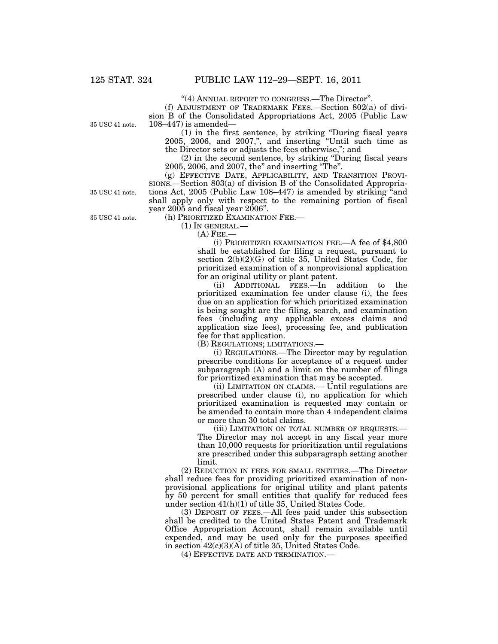''(4) ANNUAL REPORT TO CONGRESS.—The Director''.

(f) ADJUSTMENT OF TRADEMARK FEES.—Section 802(a) of divi-

sion B of the Consolidated Appropriations Act, 2005 (Public Law 108–447) is amended—

(1) in the first sentence, by striking ''During fiscal years 2005, 2006, and 2007,'', and inserting ''Until such time as the Director sets or adjusts the fees otherwise,''; and

(2) in the second sentence, by striking ''During fiscal years 2005, 2006, and 2007, the'' and inserting ''The''.

(g) EFFECTIVE DATE, APPLICABILITY, AND TRANSITION PROVI-SIONS.—Section 803(a) of division B of the Consolidated Appropriations Act, 2005 (Public Law 108–447) is amended by striking ''and shall apply only with respect to the remaining portion of fiscal year 2005 and fiscal year 2006''.

(h) PRIORITIZED EXAMINATION FEE.—

 $(1)$  In GENERAL. $-$ 

 $(A)$  Fee.

(i) PRIORITIZED EXAMINATION FEE.—A fee of \$4,800 shall be established for filing a request, pursuant to section 2(b)(2)(G) of title 35, United States Code, for prioritized examination of a nonprovisional application for an original utility or plant patent.

(ii) ADDITIONAL FEES.—In addition to the prioritized examination fee under clause (i), the fees due on an application for which prioritized examination is being sought are the filing, search, and examination fees (including any applicable excess claims and application size fees), processing fee, and publication fee for that application.

(B) REGULATIONS; LIMITATIONS.—

(i) REGULATIONS.—The Director may by regulation prescribe conditions for acceptance of a request under subparagraph (A) and a limit on the number of filings for prioritized examination that may be accepted.

(ii) LIMITATION ON CLAIMS.— Until regulations are prescribed under clause (i), no application for which prioritized examination is requested may contain or be amended to contain more than 4 independent claims or more than 30 total claims.

(iii) LIMITATION ON TOTAL NUMBER OF REQUESTS.— The Director may not accept in any fiscal year more than 10,000 requests for prioritization until regulations are prescribed under this subparagraph setting another limit.

(2) REDUCTION IN FEES FOR SMALL ENTITIES.—The Director shall reduce fees for providing prioritized examination of nonprovisional applications for original utility and plant patents by 50 percent for small entities that qualify for reduced fees under section 41(h)(1) of title 35, United States Code.

(3) DEPOSIT OF FEES.—All fees paid under this subsection shall be credited to the United States Patent and Trademark Office Appropriation Account, shall remain available until expended, and may be used only for the purposes specified in section 42(c)(3)(A) of title 35, United States Code.

(4) EFFECTIVE DATE AND TERMINATION.—

35 USC 41 note.

35 USC 41 note.

35 USC 41 note.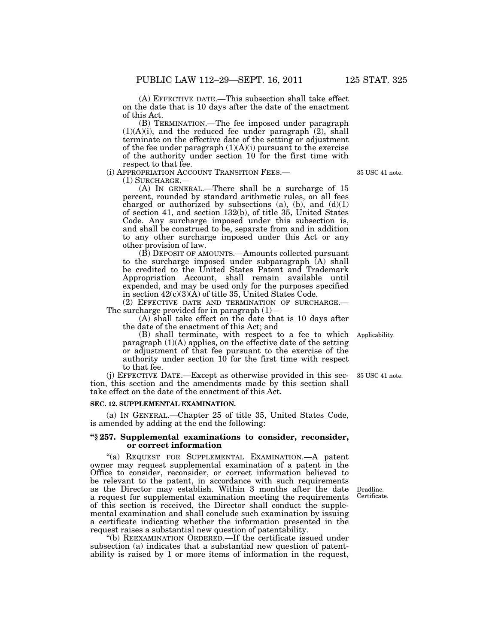(A) EFFECTIVE DATE.—This subsection shall take effect on the date that is 10 days after the date of the enactment of this Act.

(B) TERMINATION.—The fee imposed under paragraph  $(1)(A)(i)$ , and the reduced fee under paragraph  $(2)$ , shall terminate on the effective date of the setting or adjustment of the fee under paragraph  $(1)(A)(i)$  pursuant to the exercise of the authority under section 10 for the first time with respect to that fee.<br>(i) APPROPRIATION ACCOUNT TRANSITION FEES.—

(1) SURCHARGE.—<br>(A) IN GENERAL.—There shall be a surcharge of 15 percent, rounded by standard arithmetic rules, on all fees charged or authorized by subsections  $(a)$ ,  $(b)$ , and  $(d)(1)$ of section 41, and section 132(b), of title 35, United States Code. Any surcharge imposed under this subsection is, and shall be construed to be, separate from and in addition to any other surcharge imposed under this Act or any other provision of law.

(B) DEPOSIT OF AMOUNTS.—Amounts collected pursuant to the surcharge imposed under subparagraph (A) shall be credited to the United States Patent and Trademark Appropriation Account, shall remain available until expended, and may be used only for the purposes specified in section 42(c)(3)(A) of title 35, United States Code.

(2) EFFECTIVE DATE AND TERMINATION OF SURCHARGE.— The surcharge provided for in paragraph  $(1)$ —

(A) shall take effect on the date that is 10 days after the date of the enactment of this Act; and

(B) shall terminate, with respect to a fee to which Applicability. paragraph (1)(A) applies, on the effective date of the setting or adjustment of that fee pursuant to the exercise of the authority under section 10 for the first time with respect to that fee.

(j) EFFECTIVE DATE.—Except as otherwise provided in this section, this section and the amendments made by this section shall take effect on the date of the enactment of this Act.

#### **SEC. 12. SUPPLEMENTAL EXAMINATION.**

(a) IN GENERAL.—Chapter 25 of title 35, United States Code, is amended by adding at the end the following:

#### **''§ 257. Supplemental examinations to consider, reconsider, or correct information**

''(a) REQUEST FOR SUPPLEMENTAL EXAMINATION.—A patent owner may request supplemental examination of a patent in the Office to consider, reconsider, or correct information believed to be relevant to the patent, in accordance with such requirements as the Director may establish. Within 3 months after the date a request for supplemental examination meeting the requirements of this section is received, the Director shall conduct the supplemental examination and shall conclude such examination by issuing a certificate indicating whether the information presented in the request raises a substantial new question of patentability.

''(b) REEXAMINATION ORDERED.—If the certificate issued under subsection (a) indicates that a substantial new question of patentability is raised by 1 or more items of information in the request,

35 USC 41 note.

35 USC 41 note.

Deadline. Certificate.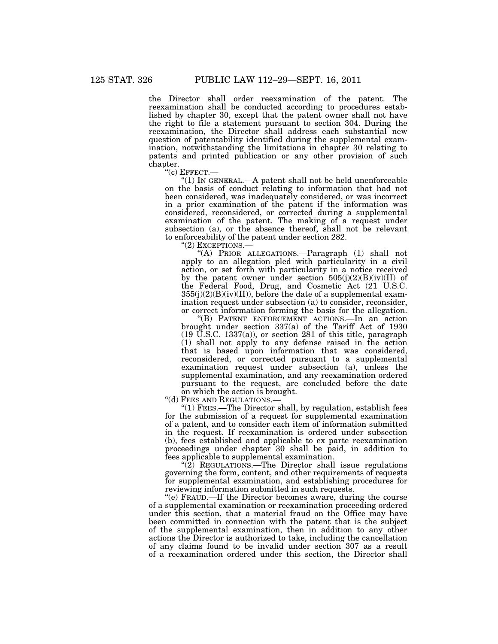the Director shall order reexamination of the patent. The reexamination shall be conducted according to procedures established by chapter 30, except that the patent owner shall not have the right to file a statement pursuant to section 304. During the reexamination, the Director shall address each substantial new question of patentability identified during the supplemental examination, notwithstanding the limitations in chapter 30 relating to patents and printed publication or any other provision of such chapter.<br>"(c) EFFECT.-

"(1) In GENERAL.—A patent shall not be held unenforceable on the basis of conduct relating to information that had not been considered, was inadequately considered, or was incorrect in a prior examination of the patent if the information was considered, reconsidered, or corrected during a supplemental examination of the patent. The making of a request under subsection (a), or the absence thereof, shall not be relevant to enforceability of the patent under section 282.

''(2) EXCEPTIONS.—

''(A) PRIOR ALLEGATIONS.—Paragraph (1) shall not apply to an allegation pled with particularity in a civil action, or set forth with particularity in a notice received by the patent owner under section  $505(j)(2)(B)(iv)(II)$  of the Federal Food, Drug, and Cosmetic Act (21 U.S.C.  $355(j)(2)(B)(iv)(II))$ , before the date of a supplemental examination request under subsection (a) to consider, reconsider, or correct information forming the basis for the allegation.

''(B) PATENT ENFORCEMENT ACTIONS.—In an action brought under section 337(a) of the Tariff Act of 1930  $(19 \text{ U.S.C. } 1337(a))$ , or section 281 of this title, paragraph (1) shall not apply to any defense raised in the action that is based upon information that was considered, reconsidered, or corrected pursuant to a supplemental examination request under subsection (a), unless the supplemental examination, and any reexamination ordered pursuant to the request, are concluded before the date on which the action is brought.

''(d) FEES AND REGULATIONS.—

''(1) FEES.—The Director shall, by regulation, establish fees for the submission of a request for supplemental examination of a patent, and to consider each item of information submitted in the request. If reexamination is ordered under subsection (b), fees established and applicable to ex parte reexamination proceedings under chapter 30 shall be paid, in addition to fees applicable to supplemental examination.

" $(2)$  REGULATIONS.—The Director shall issue regulations governing the form, content, and other requirements of requests for supplemental examination, and establishing procedures for reviewing information submitted in such requests.

''(e) FRAUD.—If the Director becomes aware, during the course of a supplemental examination or reexamination proceeding ordered under this section, that a material fraud on the Office may have been committed in connection with the patent that is the subject of the supplemental examination, then in addition to any other actions the Director is authorized to take, including the cancellation of any claims found to be invalid under section 307 as a result of a reexamination ordered under this section, the Director shall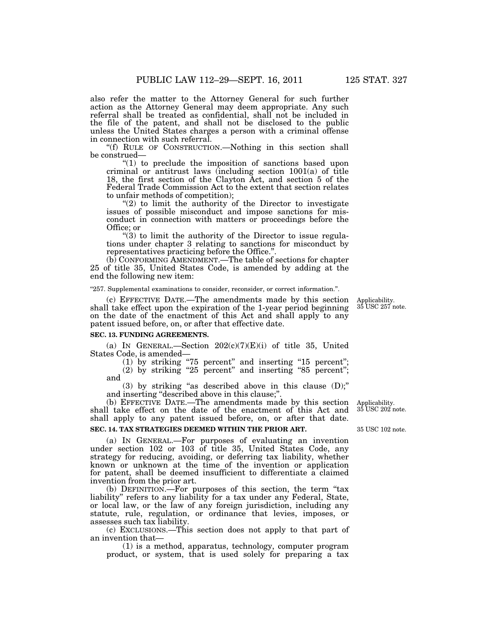also refer the matter to the Attorney General for such further action as the Attorney General may deem appropriate. Any such referral shall be treated as confidential, shall not be included in the file of the patent, and shall not be disclosed to the public unless the United States charges a person with a criminal offense in connection with such referral.

''(f) RULE OF CONSTRUCTION.—Nothing in this section shall be construed—

"(1) to preclude the imposition of sanctions based upon criminal or antitrust laws (including section 1001(a) of title 18, the first section of the Clayton Act, and section 5 of the Federal Trade Commission Act to the extent that section relates to unfair methods of competition);

"(2) to limit the authority of the Director to investigate issues of possible misconduct and impose sanctions for misconduct in connection with matters or proceedings before the Office; or

 $\degree$ (3) to limit the authority of the Director to issue regulations under chapter 3 relating to sanctions for misconduct by representatives practicing before the Office."

(b) CONFORMING AMENDMENT.—The table of sections for chapter 25 of title 35, United States Code, is amended by adding at the end the following new item:

#### ''257. Supplemental examinations to consider, reconsider, or correct information.''.

(c) EFFECTIVE DATE.—The amendments made by this section shall take effect upon the expiration of the 1-year period beginning on the date of the enactment of this Act and shall apply to any patent issued before, on, or after that effective date.

# **SEC. 13. FUNDING AGREEMENTS.**

(a) IN GENERAL.—Section  $202(c)(7)(E)(i)$  of title 35, United States Code, is amended—

(1) by striking ''75 percent'' and inserting ''15 percent'';

(2) by striking ''25 percent'' and inserting ''85 percent''; and

(3) by striking "as described above in this clause  $(D)$ ;" and inserting "described above in this clause;"

(b) EFFECTIVE DATE.—The amendments made by this section shall take effect on the date of the enactment of this Act and shall apply to any patent issued before, on, or after that date.

# **SEC. 14. TAX STRATEGIES DEEMED WITHIN THE PRIOR ART.**

(a) IN GENERAL.—For purposes of evaluating an invention under section 102 or 103 of title 35, United States Code, any strategy for reducing, avoiding, or deferring tax liability, whether known or unknown at the time of the invention or application for patent, shall be deemed insufficient to differentiate a claimed invention from the prior art.

(b) DEFINITION.—For purposes of this section, the term ''tax liability'' refers to any liability for a tax under any Federal, State, or local law, or the law of any foreign jurisdiction, including any statute, rule, regulation, or ordinance that levies, imposes, or assesses such tax liability.

(c) EXCLUSIONS.—This section does not apply to that part of an invention that—

(1) is a method, apparatus, technology, computer program product, or system, that is used solely for preparing a tax

Applicability. 35 USC 202 note.

35 USC 102 note.

Applicability. 35 USC 257 note.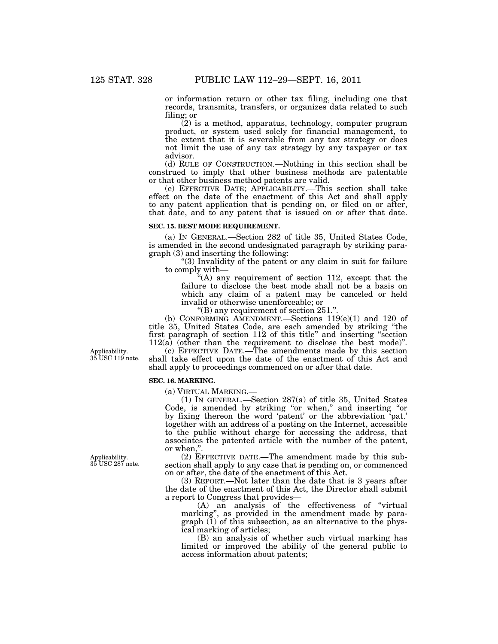or information return or other tax filing, including one that records, transmits, transfers, or organizes data related to such filing; or

(2) is a method, apparatus, technology, computer program product, or system used solely for financial management, to the extent that it is severable from any tax strategy or does not limit the use of any tax strategy by any taxpayer or tax advisor.

(d) RULE OF CONSTRUCTION.—Nothing in this section shall be construed to imply that other business methods are patentable or that other business method patents are valid.

(e) EFFECTIVE DATE; APPLICABILITY.—This section shall take effect on the date of the enactment of this Act and shall apply to any patent application that is pending on, or filed on or after, that date, and to any patent that is issued on or after that date.

#### **SEC. 15. BEST MODE REQUIREMENT.**

(a) IN GENERAL.—Section 282 of title 35, United States Code, is amended in the second undesignated paragraph by striking paragraph (3) and inserting the following:

"(3) Invalidity of the patent or any claim in suit for failure to comply with—

''(A) any requirement of section 112, except that the failure to disclose the best mode shall not be a basis on which any claim of a patent may be canceled or held invalid or otherwise unenforceable; or

''(B) any requirement of section 251.''.

(b) CONFORMING AMENDMENT.—Sections 119(e)(1) and 120 of title 35, United States Code, are each amended by striking ''the first paragraph of section 112 of this title'' and inserting ''section 112(a) (other than the requirement to disclose the best mode)''.

(c) EFFECTIVE DATE.—The amendments made by this section shall take effect upon the date of the enactment of this Act and shall apply to proceedings commenced on or after that date.

# **SEC. 16. MARKING.**

(a) VIRTUAL MARKING.—

(1) IN GENERAL.—Section 287(a) of title 35, United States Code, is amended by striking "or when," and inserting "or by fixing thereon the word 'patent' or the abbreviation 'pat.' together with an address of a posting on the Internet, accessible to the public without charge for accessing the address, that associates the patented article with the number of the patent, or when."

(2) EFFECTIVE DATE.—The amendment made by this subsection shall apply to any case that is pending on, or commenced on or after, the date of the enactment of this Act.

(3) REPORT.—Not later than the date that is 3 years after the date of the enactment of this Act, the Director shall submit a report to Congress that provides—

(A) an analysis of the effectiveness of ''virtual marking'', as provided in the amendment made by paragraph (1) of this subsection, as an alternative to the physical marking of articles;

(B) an analysis of whether such virtual marking has limited or improved the ability of the general public to access information about patents;

Applicability. 35 USC 119 note.

Applicability. 35 USC 287 note.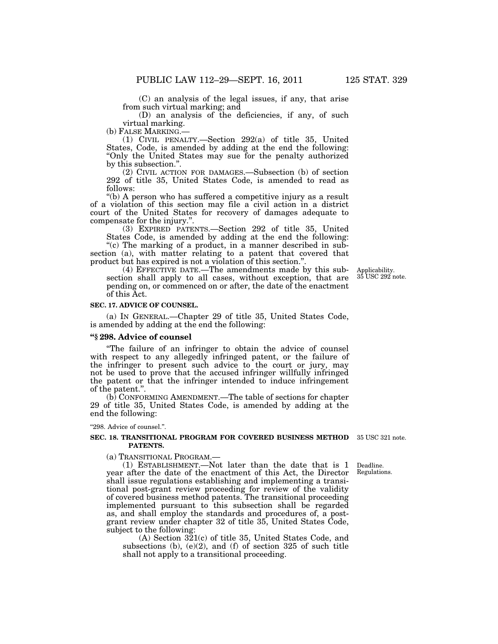(C) an analysis of the legal issues, if any, that arise from such virtual marking; and

(D) an analysis of the deficiencies, if any, of such virtual marking.<br>- (b) FALSE MARKING.

(1) CIVIL PENALTY.— Section  $292(a)$  of title 35, United States, Code, is amended by adding at the end the following: ''Only the United States may sue for the penalty authorized by this subsection.''.

(2) CIVIL ACTION FOR DAMAGES.—Subsection (b) of section 292 of title 35, United States Code, is amended to read as follows:

''(b) A person who has suffered a competitive injury as a result of a violation of this section may file a civil action in a district court of the United States for recovery of damages adequate to compensate for the injury.''.

(3) EXPIRED PATENTS.—Section 292 of title 35, United States Code, is amended by adding at the end the following:

"(c) The marking of a product, in a manner described in subsection (a), with matter relating to a patent that covered that product but has expired is not a violation of this section.'

(4) EFFECTIVE DATE.—The amendments made by this subsection shall apply to all cases, without exception, that are pending on, or commenced on or after, the date of the enactment of this Act.

#### **SEC. 17. ADVICE OF COUNSEL.**

(a) IN GENERAL.—Chapter 29 of title 35, United States Code, is amended by adding at the end the following:

#### **''§ 298. Advice of counsel**

''The failure of an infringer to obtain the advice of counsel with respect to any allegedly infringed patent, or the failure of the infringer to present such advice to the court or jury, may not be used to prove that the accused infringer willfully infringed the patent or that the infringer intended to induce infringement of the patent.''.

(b) CONFORMING AMENDMENT.—The table of sections for chapter 29 of title 35, United States Code, is amended by adding at the end the following:

''298. Advice of counsel.''.

#### **SEC. 18. TRANSITIONAL PROGRAM FOR COVERED BUSINESS METHOD**  35 USC 321 note. **PATENTS.**

(a) TRANSITIONAL PROGRAM.—

(1) ESTABLISHMENT.—Not later than the date that is 1 year after the date of the enactment of this Act, the Director shall issue regulations establishing and implementing a transitional post-grant review proceeding for review of the validity of covered business method patents. The transitional proceeding implemented pursuant to this subsection shall be regarded as, and shall employ the standards and procedures of, a postgrant review under chapter 32 of title 35, United States Code, subject to the following:

(A) Section 321(c) of title 35, United States Code, and subsections  $(b)$ ,  $(e)(2)$ , and  $(f)$  of section 325 of such title shall not apply to a transitional proceeding.

Deadline. Regulations.

35 USC 292 note.

Applicability.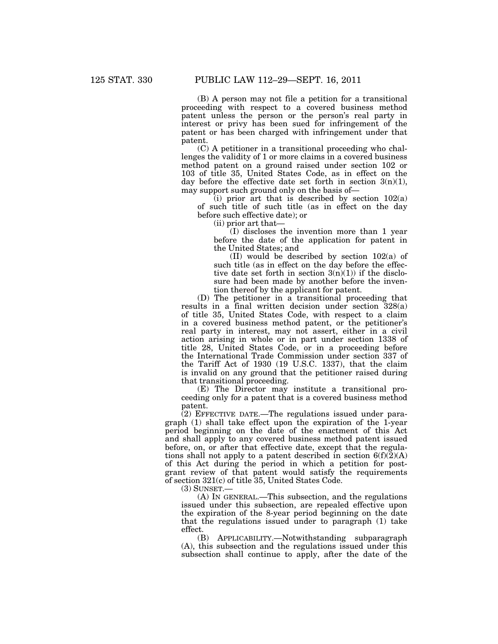(B) A person may not file a petition for a transitional proceeding with respect to a covered business method patent unless the person or the person's real party in interest or privy has been sued for infringement of the patent or has been charged with infringement under that patent.

(C) A petitioner in a transitional proceeding who challenges the validity of 1 or more claims in a covered business method patent on a ground raised under section 102 or 103 of title 35, United States Code, as in effect on the day before the effective date set forth in section  $3(n)(1)$ , may support such ground only on the basis of—

 $(i)$  prior art that is described by section  $102(a)$ of such title of such title (as in effect on the day before such effective date); or

(ii) prior art that—

(I) discloses the invention more than 1 year before the date of the application for patent in the United States; and

(II) would be described by section 102(a) of such title (as in effect on the day before the effective date set forth in section  $3(n)(1)$  if the disclosure had been made by another before the invention thereof by the applicant for patent.

(D) The petitioner in a transitional proceeding that results in a final written decision under section 328(a) of title 35, United States Code, with respect to a claim in a covered business method patent, or the petitioner's real party in interest, may not assert, either in a civil action arising in whole or in part under section 1338 of title 28, United States Code, or in a proceeding before the International Trade Commission under section 337 of the Tariff Act of 1930 (19 U.S.C. 1337), that the claim is invalid on any ground that the petitioner raised during that transitional proceeding.

(E) The Director may institute a transitional proceeding only for a patent that is a covered business method patent.

(2) EFFECTIVE DATE.—The regulations issued under paragraph (1) shall take effect upon the expiration of the 1-year period beginning on the date of the enactment of this Act and shall apply to any covered business method patent issued before, on, or after that effective date, except that the regulations shall not apply to a patent described in section  $6(f)(2)(A)$ of this Act during the period in which a petition for postgrant review of that patent would satisfy the requirements of section 321(c) of title 35, United States Code.

(3) SUNSET.—

(A) IN GENERAL.—This subsection, and the regulations issued under this subsection, are repealed effective upon the expiration of the 8-year period beginning on the date that the regulations issued under to paragraph (1) take effect.

(B) APPLICABILITY.—Notwithstanding subparagraph (A), this subsection and the regulations issued under this subsection shall continue to apply, after the date of the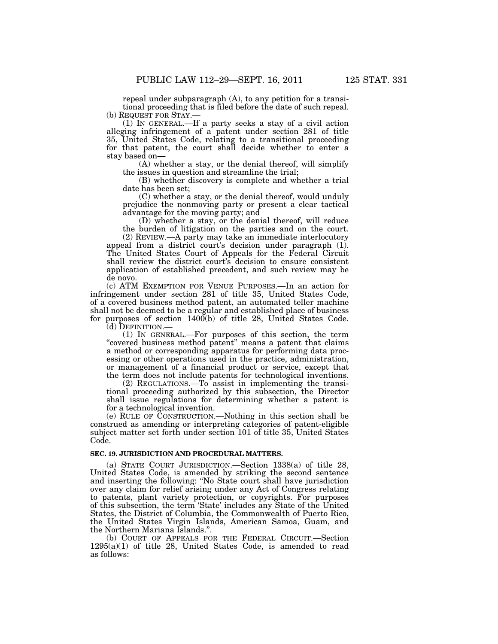repeal under subparagraph (A), to any petition for a transitional proceeding that is filed before the date of such repeal. (b) REQUEST FOR STAY.—

(1) IN GENERAL.—If a party seeks a stay of a civil action alleging infringement of a patent under section 281 of title 35, United States Code, relating to a transitional proceeding for that patent, the court shall decide whether to enter a stay based on—

(A) whether a stay, or the denial thereof, will simplify the issues in question and streamline the trial;

(B) whether discovery is complete and whether a trial date has been set;

(C) whether a stay, or the denial thereof, would unduly prejudice the nonmoving party or present a clear tactical advantage for the moving party; and

(D) whether a stay, or the denial thereof, will reduce the burden of litigation on the parties and on the court.

(2) REVIEW.—A party may take an immediate interlocutory appeal from a district court's decision under paragraph (1). The United States Court of Appeals for the Federal Circuit shall review the district court's decision to ensure consistent application of established precedent, and such review may be de novo.

(c) ATM EXEMPTION FOR VENUE PURPOSES.—In an action for infringement under section 281 of title 35, United States Code, of a covered business method patent, an automated teller machine shall not be deemed to be a regular and established place of business for purposes of section 1400(b) of title 28, United States Code. (d) DEFINITION.—

(1) IN GENERAL.—For purposes of this section, the term "covered business method patent" means a patent that claims a method or corresponding apparatus for performing data processing or other operations used in the practice, administration, or management of a financial product or service, except that the term does not include patents for technological inventions.

(2) REGULATIONS.—To assist in implementing the transitional proceeding authorized by this subsection, the Director shall issue regulations for determining whether a patent is for a technological invention.

(e) RULE OF CONSTRUCTION.—Nothing in this section shall be construed as amending or interpreting categories of patent-eligible subject matter set forth under section 101 of title 35, United States Code.

#### **SEC. 19. JURISDICTION AND PROCEDURAL MATTERS.**

(a) STATE COURT JURISDICTION.—Section 1338(a) of title 28, United States Code, is amended by striking the second sentence and inserting the following: ''No State court shall have jurisdiction over any claim for relief arising under any Act of Congress relating to patents, plant variety protection, or copyrights. For purposes of this subsection, the term 'State' includes any State of the United States, the District of Columbia, the Commonwealth of Puerto Rico, the United States Virgin Islands, American Samoa, Guam, and the Northern Mariana Islands.''.

(b) COURT OF APPEALS FOR THE FEDERAL CIRCUIT.—Section 1295(a)(1) of title 28, United States Code, is amended to read as follows: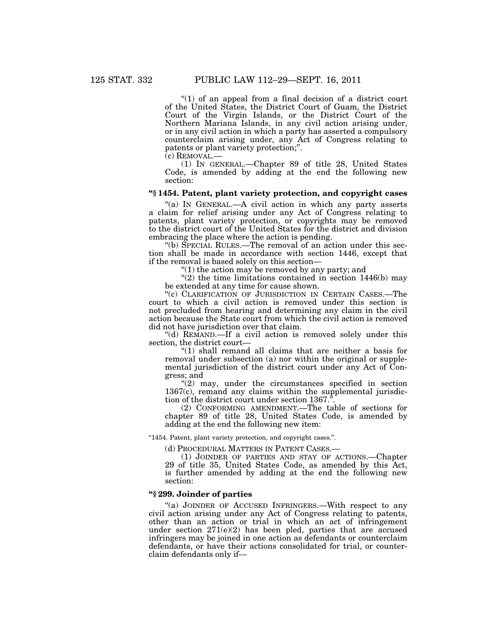" $(1)$  of an appeal from a final decision of a district court of the United States, the District Court of Guam, the District Court of the Virgin Islands, or the District Court of the Northern Mariana Islands, in any civil action arising under, or in any civil action in which a party has asserted a compulsory counterclaim arising under, any Act of Congress relating to patents or plant variety protection;''.

(c) REMOVAL.— (1) IN GENERAL.—Chapter 89 of title 28, United States Code, is amended by adding at the end the following new section:

# **''§ 1454. Patent, plant variety protection, and copyright cases**

"(a) IN GENERAL.—A civil action in which any party asserts a claim for relief arising under any Act of Congress relating to patents, plant variety protection, or copyrights may be removed to the district court of the United States for the district and division embracing the place where the action is pending.

''(b) SPECIAL RULES.—The removal of an action under this section shall be made in accordance with section 1446, except that if the removal is based solely on this section—

''(1) the action may be removed by any party; and

"(2) the time limitations contained in section  $1446(b)$  may be extended at any time for cause shown.

"(c) CLARIFICATION OF JURISDICTION IN CERTAIN CASES.—The court to which a civil action is removed under this section is not precluded from hearing and determining any claim in the civil action because the State court from which the civil action is removed did not have jurisdiction over that claim.

''(d) REMAND.—If a civil action is removed solely under this section, the district court—

''(1) shall remand all claims that are neither a basis for removal under subsection (a) nor within the original or supplemental jurisdiction of the district court under any Act of Congress; and

 $'(2)$  may, under the circumstances specified in section 1367(c), remand any claims within the supplemental jurisdiction of the district court under section 1367."

(2) CONFORMING AMENDMENT.—The table of sections for chapter 89 of title 28, United States Code, is amended by adding at the end the following new item:

''1454. Patent, plant variety protection, and copyright cases.''.

(d) PROCEDURAL MATTERS IN PATENT CASES.—

(1) JOINDER OF PARTIES AND STAY OF ACTIONS.—Chapter 29 of title 35, United States Code, as amended by this Act, is further amended by adding at the end the following new section:

# **''§ 299. Joinder of parties**

"(a) JOINDER OF ACCUSED INFRINGERS.—With respect to any civil action arising under any Act of Congress relating to patents, other than an action or trial in which an act of infringement under section 271(e)(2) has been pled, parties that are accused infringers may be joined in one action as defendants or counterclaim defendants, or have their actions consolidated for trial, or counterclaim defendants only if—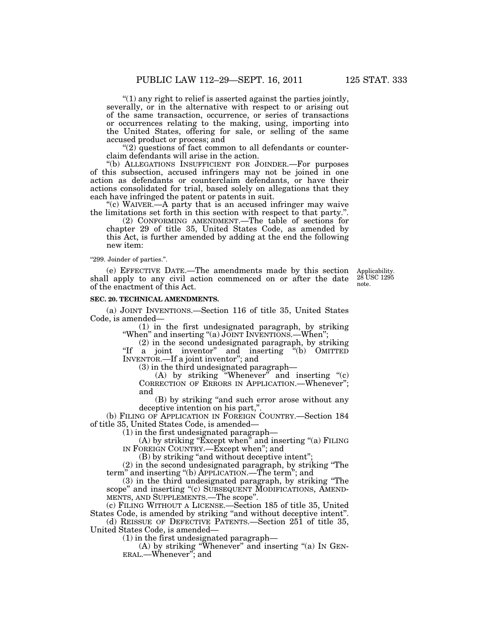" $(1)$  any right to relief is asserted against the parties jointly, severally, or in the alternative with respect to or arising out of the same transaction, occurrence, or series of transactions or occurrences relating to the making, using, importing into the United States, offering for sale, or selling of the same accused product or process; and

"(2) questions of fact common to all defendants or counterclaim defendants will arise in the action.

"(b) ALLEGATIONS INSUFFICIENT FOR JOINDER.—For purposes of this subsection, accused infringers may not be joined in one action as defendants or counterclaim defendants, or have their actions consolidated for trial, based solely on allegations that they each have infringed the patent or patents in suit.

"(c) WAIVER.—A party that is an accused infringer may waive the limitations set forth in this section with respect to that party.''.

(2) CONFORMING AMENDMENT.—The table of sections for chapter 29 of title 35, United States Code, as amended by this Act, is further amended by adding at the end the following new item:

''299. Joinder of parties.''.

(e) EFFECTIVE DATE.—The amendments made by this section shall apply to any civil action commenced on or after the date of the enactment of this Act.

Applicability. 28 USC 1295 note.

#### **SEC. 20. TECHNICAL AMENDMENTS.**

(a) JOINT INVENTIONS.—Section 116 of title 35, United States Code, is amended—

> (1) in the first undesignated paragraph, by striking ''When'' and inserting ''(a) JOINT INVENTIONS.—When'';

> (2) in the second undesignated paragraph, by striking "If a joint inventor" and inserting "(b) OMITTED INVENTOR.—If a joint inventor''; and

(3) in the third undesignated paragraph—

(A) by striking "Whenever" and inserting " $(c)$ CORRECTION OF ERRORS IN APPLICATION.—Whenever''; and

(B) by striking ''and such error arose without any deceptive intention on his part,''.

(b) FILING OF APPLICATION IN FOREIGN COUNTRY.—Section 184 of title 35, United States Code, is amended—

(1) in the first undesignated paragraph—

 $(A)$  by striking "Except when" and inserting "(a) FILING IN FOREIGN COUNTRY.—Except when''; and

(B) by striking ''and without deceptive intent'';

(2) in the second undesignated paragraph, by striking ''The term'' and inserting ''(b) APPLICATION.—The term''; and

(3) in the third undesignated paragraph, by striking ''The scope'' and inserting ''(c) SUBSEQUENT MODIFICATIONS, AMEND-MENTS, AND SUPPLEMENTS.—The scope''.

(c) FILING WITHOUT A LICENSE.—Section 185 of title 35, United States Code, is amended by striking ''and without deceptive intent''.

(d) REISSUE OF DEFECTIVE PATENTS.—Section 251 of title 35, United States Code, is amended—

(1) in the first undesignated paragraph—

(A) by striking ''Whenever'' and inserting ''(a) IN GEN- ERAL.—Whenever''; and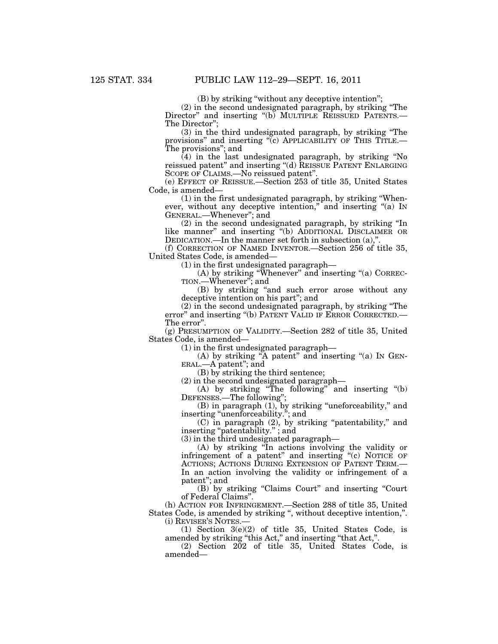(B) by striking ''without any deceptive intention'';

(2) in the second undesignated paragraph, by striking ''The Director" and inserting "(b) MULTIPLE REISSUED PATENTS.— The Director'';

(3) in the third undesignated paragraph, by striking ''The provisions'' and inserting ''(c) APPLICABILITY OF THIS TITLE.— The provisions''; and

(4) in the last undesignated paragraph, by striking ''No reissued patent'' and inserting ''(d) REISSUE PATENT ENLARGING SCOPE OF CLAIMS.—No reissued patent''.

(e) EFFECT OF REISSUE.—Section 253 of title 35, United States Code, is amended—

(1) in the first undesignated paragraph, by striking ''Whenever, without any deceptive intention," and inserting "(a) In GENERAL.—Whenever''; and

(2) in the second undesignated paragraph, by striking ''In like manner'' and inserting ''(b) ADDITIONAL DISCLAIMER OR DEDICATION.—In the manner set forth in subsection (a),".

(f) CORRECTION OF NAMED INVENTOR.—Section 256 of title 35, United States Code, is amended—

(1) in the first undesignated paragraph—

(A) by striking "Whenever" and inserting "(a) CORREC-TION.—Whenever''; and

(B) by striking ''and such error arose without any deceptive intention on his part''; and

(2) in the second undesignated paragraph, by striking ''The error'' and inserting ''(b) PATENT VALID IF ERROR CORRECTED.— The error''.

(g) PRESUMPTION OF VALIDITY.—Section 282 of title 35, United States Code, is amended—

(1) in the first undesignated paragraph—

(A) by striking "A patent" and inserting "(a) IN GEN-ERAL.—A patent''; and

(B) by striking the third sentence;

(2) in the second undesignated paragraph—

(A) by striking "The following" and inserting "(b) DEFENSES.—The following'';

(B) in paragraph (1), by striking ''uneforceability,'' and inserting "unenforceability."; and

(C) in paragraph (2), by striking ''patentability,'' and inserting "patentability."; and

(3) in the third undesignated paragraph—

(A) by striking ''In actions involving the validity or infringement of a patent'' and inserting ''(c) NOTICE OF ACTIONS; ACTIONS DURING EXTENSION OF PATENT TERM.— In an action involving the validity or infringement of a patent''; and

(B) by striking ''Claims Court'' and inserting ''Court of Federal Claims''.

(h) ACTION FOR INFRINGEMENT.—Section 288 of title 35, United States Code, is amended by striking '', without deceptive intention,''. (i) REVISER'S NOTES.—

(1) Section 3(e)(2) of title 35, United States Code, is amended by striking "this Act," and inserting "that Act,"

(2) Section 202 of title 35, United States Code, is amended—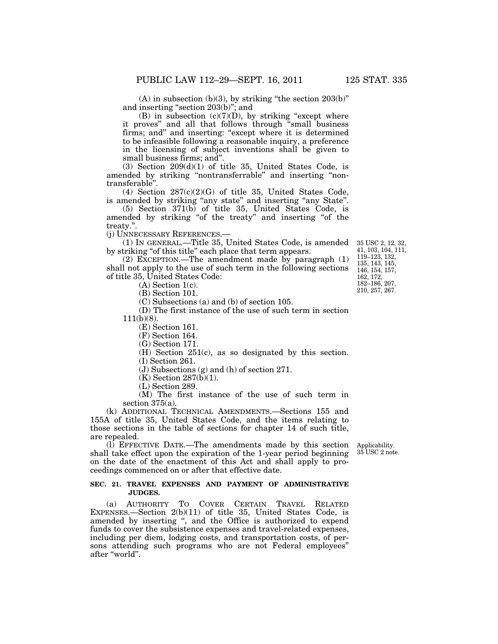$(A)$  in subsection  $(b)(3)$ , by striking "the section  $203(b)$ " and inserting ''section 203(b)''; and

(B) in subsection  $(c)(7)(D)$ , by striking "except where it proves'' and all that follows through ''small business firms; and" and inserting: "except where it is determined to be infeasible following a reasonable inquiry, a preference in the licensing of subject inventions shall be given to small business firms; and".

(3) Section 209(d)(1) of title 35, United States Code, is amended by striking ''nontransferrable'' and inserting ''nontransferable''.

(4) Section 287(c)(2)(G) of title 35, United States Code, is amended by striking "any state" and inserting "any State".

(5) Section 371(b) of title 35, United States Code, is amended by striking ''of the treaty'' and inserting ''of the treaty.''.

(j) UNNECESSARY REFERENCES.—

(1) IN GENERAL.—Title 35, United States Code, is amended by striking ''of this title'' each place that term appears.

(2) EXCEPTION.—The amendment made by paragraph (1) shall not apply to the use of such term in the following sections of title 35, United States Code:

(A) Section 1(c).

(B) Section 101.

(C) Subsections (a) and (b) of section 105.

(D) The first instance of the use of such term in section 111(b)(8).

(E) Section 161.

(F) Section 164.

(G) Section 171.

(H) Section 251(c), as so designated by this section.

(I) Section 261.

(J) Subsections (g) and (h) of section 271.

 $(K)$  Section 287(b)(1).

(L) Section 289.

(M) The first instance of the use of such term in section 375(a).

(k) ADDITIONAL TECHNICAL AMENDMENTS.—Sections 155 and 155A of title 35, United States Code, and the items relating to those sections in the table of sections for chapter 14 of such title, are repealed.

(l) EFFECTIVE DATE.—The amendments made by this section shall take effect upon the expiration of the 1-year period beginning on the date of the enactment of this Act and shall apply to proceedings commenced on or after that effective date.

### **SEC. 21. TRAVEL EXPENSES AND PAYMENT OF ADMINISTRATIVE JUDGES.**

(a) AUTHORITY TO COVER CERTAIN TRAVEL RELATED EXPENSES.—Section 2(b)(11) of title 35, United States Code, is amended by inserting '', and the Office is authorized to expend funds to cover the subsistence expenses and travel-related expenses, including per diem, lodging costs, and transportation costs, of persons attending such programs who are not Federal employees'' after ''world''.

Applicability. 35 USC 2 note.

35 USC 2, 12, 32, 41, 103, 104, 111, 119–123, 132, 135, 143, 145, 146, 154, 157, 162, 172, 182–186, 207, 210, 257, 267.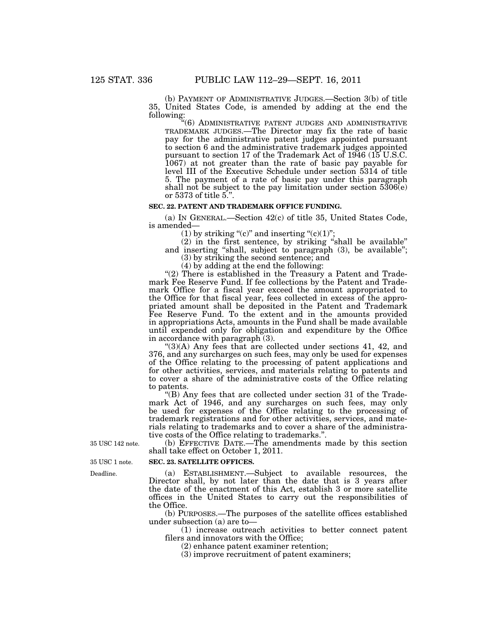(b) PAYMENT OF ADMINISTRATIVE JUDGES.—Section 3(b) of title 35, United States Code, is amended by adding at the end the following:

''(6) ADMINISTRATIVE PATENT JUDGES AND ADMINISTRATIVE TRADEMARK JUDGES.—The Director may fix the rate of basic pay for the administrative patent judges appointed pursuant to section 6 and the administrative trademark judges appointed pursuant to section 17 of the Trademark Act of 1946 (15 U.S.C. 1067) at not greater than the rate of basic pay payable for level III of the Executive Schedule under section 5314 of title 5. The payment of a rate of basic pay under this paragraph shall not be subject to the pay limitation under section  $5\overline{3}06\overline{6}$ ) or 5373 of title 5.''.

# **SEC. 22. PATENT AND TRADEMARK OFFICE FUNDING.**

(a) IN GENERAL.—Section 42(c) of title 35, United States Code, is amended—

(1) by striking "(c)" and inserting " $(c)(1)$ ";

(2) in the first sentence, by striking ''shall be available'' and inserting "shall, subject to paragraph (3), be available";

(3) by striking the second sentence; and

(4) by adding at the end the following:

"(2) There is established in the Treasury a Patent and Trademark Fee Reserve Fund. If fee collections by the Patent and Trademark Office for a fiscal year exceed the amount appropriated to the Office for that fiscal year, fees collected in excess of the appropriated amount shall be deposited in the Patent and Trademark Fee Reserve Fund. To the extent and in the amounts provided in appropriations Acts, amounts in the Fund shall be made available until expended only for obligation and expenditure by the Office in accordance with paragraph (3).

 $^{\prime\prime}(3)$ (A) Any fees that are collected under sections 41, 42, and 376, and any surcharges on such fees, may only be used for expenses of the Office relating to the processing of patent applications and for other activities, services, and materials relating to patents and to cover a share of the administrative costs of the Office relating to patents.

"(B) Any fees that are collected under section 31 of the Trademark Act of 1946, and any surcharges on such fees, may only be used for expenses of the Office relating to the processing of trademark registrations and for other activities, services, and materials relating to trademarks and to cover a share of the administrative costs of the Office relating to trademarks.''.

(b) EFFECTIVE DATE.—The amendments made by this section shall take effect on October 1, 2011.

# **SEC. 23. SATELLITE OFFICES.**

(a) ESTABLISHMENT.—Subject to available resources, the Director shall, by not later than the date that is 3 years after the date of the enactment of this Act, establish 3 or more satellite offices in the United States to carry out the responsibilities of the Office.

(b) PURPOSES.—The purposes of the satellite offices established under subsection (a) are to—

(1) increase outreach activities to better connect patent filers and innovators with the Office;

(2) enhance patent examiner retention;

(3) improve recruitment of patent examiners;

35 USC 142 note.

Deadline. 35 USC 1 note.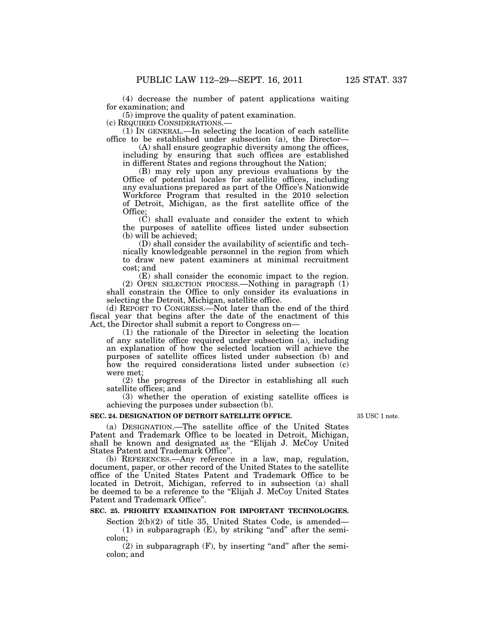(4) decrease the number of patent applications waiting for examination; and

(5) improve the quality of patent examination.

 $(1)$  In GENERAL.—In selecting the location of each satellite office to be established under subsection (a), the Director—

(A) shall ensure geographic diversity among the offices, including by ensuring that such offices are established in different States and regions throughout the Nation;

(B) may rely upon any previous evaluations by the Office of potential locales for satellite offices, including any evaluations prepared as part of the Office's Nationwide Workforce Program that resulted in the 2010 selection of Detroit, Michigan, as the first satellite office of the Office;

(C) shall evaluate and consider the extent to which the purposes of satellite offices listed under subsection (b) will be achieved;

(D) shall consider the availability of scientific and technically knowledgeable personnel in the region from which to draw new patent examiners at minimal recruitment cost; and

(E) shall consider the economic impact to the region. (2) OPEN SELECTION PROCESS.—Nothing in paragraph (1) shall constrain the Office to only consider its evaluations in selecting the Detroit, Michigan, satellite office.

(d) REPORT TO CONGRESS.—Not later than the end of the third fiscal year that begins after the date of the enactment of this Act, the Director shall submit a report to Congress on—

(1) the rationale of the Director in selecting the location of any satellite office required under subsection (a), including an explanation of how the selected location will achieve the purposes of satellite offices listed under subsection (b) and how the required considerations listed under subsection (c) were met;

(2) the progress of the Director in establishing all such satellite offices; and

(3) whether the operation of existing satellite offices is achieving the purposes under subsection (b).

#### **SEC. 24. DESIGNATION OF DETROIT SATELLITE OFFICE.**

(a) DESIGNATION.—The satellite office of the United States Patent and Trademark Office to be located in Detroit, Michigan, shall be known and designated as the "Elijah J. McCoy United States Patent and Trademark Office''.

(b) REFERENCES.—Any reference in a law, map, regulation, document, paper, or other record of the United States to the satellite office of the United States Patent and Trademark Office to be located in Detroit, Michigan, referred to in subsection (a) shall be deemed to be a reference to the "Elijah J. McCoy United States" Patent and Trademark Office''.

#### **SEC. 25. PRIORITY EXAMINATION FOR IMPORTANT TECHNOLOGIES.**

Section 2(b)(2) of title 35, United States Code, is amended—  $(1)$  in subparagraph  $(E)$ , by striking "and" after the semicolon;

 $(2)$  in subparagraph  $(F)$ , by inserting "and" after the semicolon; and

35 USC 1 note.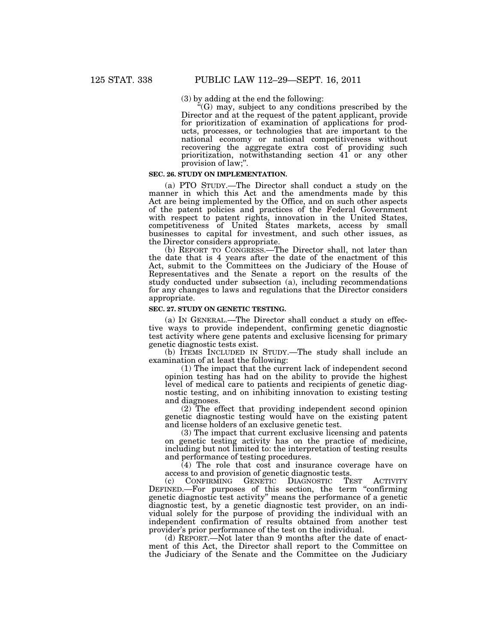(3) by adding at the end the following:

''(G) may, subject to any conditions prescribed by the Director and at the request of the patent applicant, provide for prioritization of examination of applications for products, processes, or technologies that are important to the national economy or national competitiveness without recovering the aggregate extra cost of providing such prioritization, notwithstanding section 41 or any other provision of law;''.

### **SEC. 26. STUDY ON IMPLEMENTATION.**

(a) PTO STUDY.—The Director shall conduct a study on the manner in which this Act and the amendments made by this Act are being implemented by the Office, and on such other aspects of the patent policies and practices of the Federal Government with respect to patent rights, innovation in the United States, competitiveness of United States markets, access by small businesses to capital for investment, and such other issues, as the Director considers appropriate.

(b) REPORT TO CONGRESS.—The Director shall, not later than the date that is 4 years after the date of the enactment of this Act, submit to the Committees on the Judiciary of the House of Representatives and the Senate a report on the results of the study conducted under subsection (a), including recommendations for any changes to laws and regulations that the Director considers appropriate.

#### **SEC. 27. STUDY ON GENETIC TESTING.**

(a) IN GENERAL.—The Director shall conduct a study on effective ways to provide independent, confirming genetic diagnostic test activity where gene patents and exclusive licensing for primary genetic diagnostic tests exist.

(b) ITEMS INCLUDED IN STUDY.—The study shall include an examination of at least the following:

(1) The impact that the current lack of independent second opinion testing has had on the ability to provide the highest level of medical care to patients and recipients of genetic diagnostic testing, and on inhibiting innovation to existing testing and diagnoses.

(2) The effect that providing independent second opinion genetic diagnostic testing would have on the existing patent and license holders of an exclusive genetic test.

(3) The impact that current exclusive licensing and patents on genetic testing activity has on the practice of medicine, including but not limited to: the interpretation of testing results and performance of testing procedures.

(4) The role that cost and insurance coverage have on access to and provision of genetic diagnostic tests.<br>
(c) CONFIRMING GENETIC DIAGNOSTIC TEST

(c) CONFIRMING GENETIC DIAGNOSTIC TEST ACTIVITY DEFINED.—For purposes of this section, the term "confirming" genetic diagnostic test activity'' means the performance of a genetic diagnostic test, by a genetic diagnostic test provider, on an individual solely for the purpose of providing the individual with an independent confirmation of results obtained from another test provider's prior performance of the test on the individual.

(d) REPORT.—Not later than 9 months after the date of enactment of this Act, the Director shall report to the Committee on the Judiciary of the Senate and the Committee on the Judiciary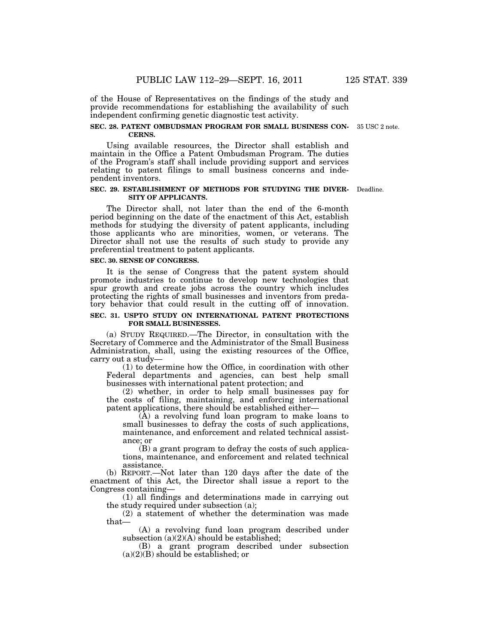of the House of Representatives on the findings of the study and provide recommendations for establishing the availability of such independent confirming genetic diagnostic test activity.

#### **SEC. 28. PATENT OMBUDSMAN PROGRAM FOR SMALL BUSINESS CON-**35 USC 2 note. **CERNS.**

Using available resources, the Director shall establish and maintain in the Office a Patent Ombudsman Program. The duties of the Program's staff shall include providing support and services relating to patent filings to small business concerns and independent inventors.

#### **SEC. 29. ESTABLISHMENT OF METHODS FOR STUDYING THE DIVER-** Deadline. **SITY OF APPLICANTS.**

The Director shall, not later than the end of the 6-month period beginning on the date of the enactment of this Act, establish methods for studying the diversity of patent applicants, including those applicants who are minorities, women, or veterans. The Director shall not use the results of such study to provide any preferential treatment to patent applicants.

#### **SEC. 30. SENSE OF CONGRESS.**

It is the sense of Congress that the patent system should promote industries to continue to develop new technologies that spur growth and create jobs across the country which includes protecting the rights of small businesses and inventors from predatory behavior that could result in the cutting off of innovation.

#### **SEC. 31. USPTO STUDY ON INTERNATIONAL PATENT PROTECTIONS FOR SMALL BUSINESSES.**

(a) STUDY REQUIRED.—The Director, in consultation with the Secretary of Commerce and the Administrator of the Small Business Administration, shall, using the existing resources of the Office, carry out a study—

(1) to determine how the Office, in coordination with other Federal departments and agencies, can best help small businesses with international patent protection; and

(2) whether, in order to help small businesses pay for the costs of filing, maintaining, and enforcing international patent applications, there should be established either—

(A) a revolving fund loan program to make loans to small businesses to defray the costs of such applications, maintenance, and enforcement and related technical assistance; or

(B) a grant program to defray the costs of such applications, maintenance, and enforcement and related technical assistance.

(b) REPORT.—Not later than 120 days after the date of the enactment of this Act, the Director shall issue a report to the Congress containing—

(1) all findings and determinations made in carrying out the study required under subsection (a);

(2) a statement of whether the determination was made that—

(A) a revolving fund loan program described under subsection  $(a)(2)(A)$  should be established;

(B) a grant program described under subsection  $(a)(2)(B)$  should be established; or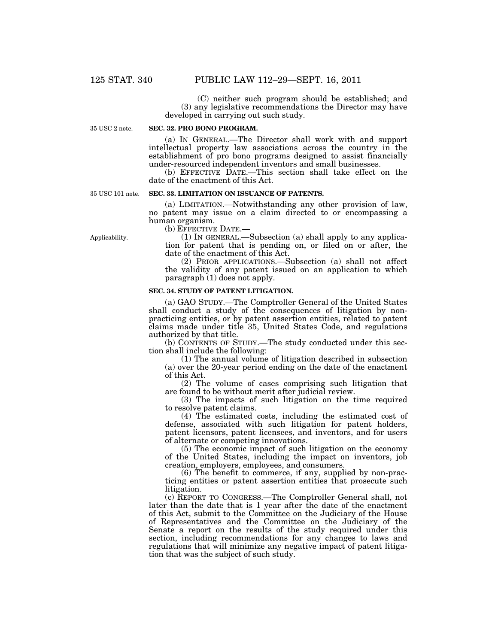(C) neither such program should be established; and (3) any legislative recommendations the Director may have developed in carrying out such study.

35 USC 2 note.

# **SEC. 32. PRO BONO PROGRAM.**

(a) IN GENERAL.—The Director shall work with and support intellectual property law associations across the country in the establishment of pro bono programs designed to assist financially under-resourced independent inventors and small businesses.

(b) EFFECTIVE DATE.—This section shall take effect on the date of the enactment of this Act.

35 USC 101 note.

# **SEC. 33. LIMITATION ON ISSUANCE OF PATENTS.**

(a) LIMITATION.—Notwithstanding any other provision of law, no patent may issue on a claim directed to or encompassing a human organism.

(b) EFFECTIVE DATE.—

(1) IN GENERAL.—Subsection (a) shall apply to any application for patent that is pending on, or filed on or after, the date of the enactment of this Act.

(2) PRIOR APPLICATIONS.—Subsection (a) shall not affect the validity of any patent issued on an application to which paragraph (1) does not apply.

### **SEC. 34. STUDY OF PATENT LITIGATION.**

(a) GAO STUDY.—The Comptroller General of the United States shall conduct a study of the consequences of litigation by nonpracticing entities, or by patent assertion entities, related to patent claims made under title 35, United States Code, and regulations authorized by that title.

(b) CONTENTS OF STUDY.—The study conducted under this section shall include the following:

(1) The annual volume of litigation described in subsection (a) over the 20-year period ending on the date of the enactment of this Act.

(2) The volume of cases comprising such litigation that are found to be without merit after judicial review.

(3) The impacts of such litigation on the time required to resolve patent claims.

(4) The estimated costs, including the estimated cost of defense, associated with such litigation for patent holders, patent licensors, patent licensees, and inventors, and for users of alternate or competing innovations.

(5) The economic impact of such litigation on the economy of the United States, including the impact on inventors, job creation, employers, employees, and consumers.

(6) The benefit to commerce, if any, supplied by non-practicing entities or patent assertion entities that prosecute such litigation.

(c) REPORT TO CONGRESS.—The Comptroller General shall, not later than the date that is 1 year after the date of the enactment of this Act, submit to the Committee on the Judiciary of the House of Representatives and the Committee on the Judiciary of the Senate a report on the results of the study required under this section, including recommendations for any changes to laws and regulations that will minimize any negative impact of patent litigation that was the subject of such study.

Applicability.